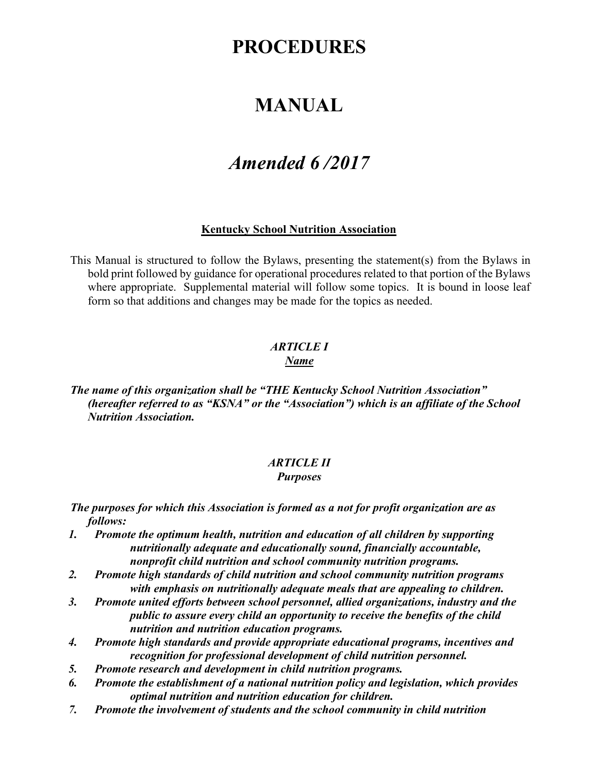# **PROCEDURES**

# **MANUAL**

# *Amended 6 /2017*

#### **Kentucky School Nutrition Association**

This Manual is structured to follow the Bylaws, presenting the statement(s) from the Bylaws in bold print followed by guidance for operational procedures related to that portion of the Bylaws where appropriate. Supplemental material will follow some topics. It is bound in loose leaf form so that additions and changes may be made for the topics as needed.

#### *ARTICLE I Name*

*The name of this organization shall be "THE Kentucky School Nutrition Association" (hereafter referred to as "KSNA" or the "Association") which is an affiliate of the School Nutrition Association.*

#### *ARTICLE II Purposes*

*The purposes for which this Association is formed as a not for profit organization are as follows:*

- *1. Promote the optimum health, nutrition and education of all children by supporting nutritionally adequate and educationally sound, financially accountable, nonprofit child nutrition and school community nutrition programs.*
- *2. Promote high standards of child nutrition and school community nutrition programs with emphasis on nutritionally adequate meals that are appealing to children.*
- *3. Promote united efforts between school personnel, allied organizations, industry and the public to assure every child an opportunity to receive the benefits of the child nutrition and nutrition education programs.*
- *4. Promote high standards and provide appropriate educational programs, incentives and recognition for professional development of child nutrition personnel.*
- *5. Promote research and development in child nutrition programs.*
- *6. Promote the establishment of a national nutrition policy and legislation, which provides optimal nutrition and nutrition education for children.*
- *7. Promote the involvement of students and the school community in child nutrition*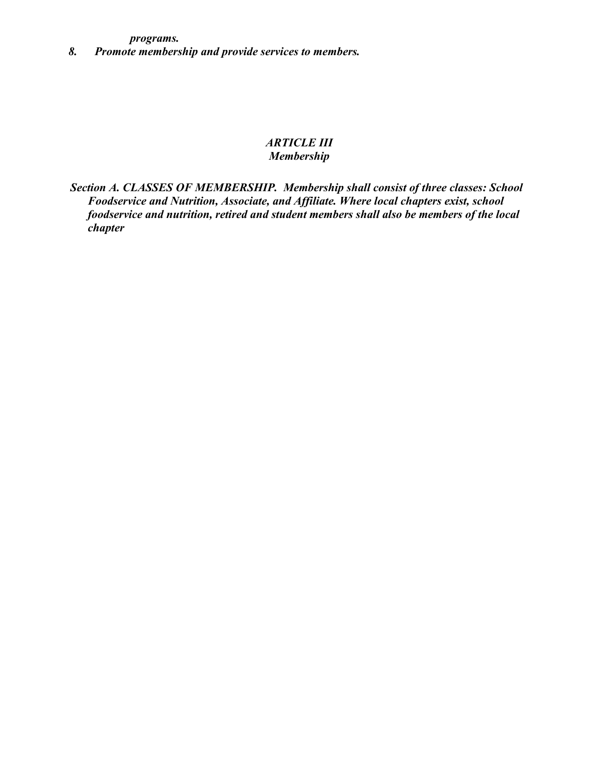*programs.*

*8. Promote membership and provide services to members.*

# *ARTICLE III Membership*

*Section A. CLASSES OF MEMBERSHIP. Membership shall consist of three classes: School Foodservice and Nutrition, Associate, and Affiliate. Where local chapters exist, school foodservice and nutrition, retired and student members shall also be members of the local chapter*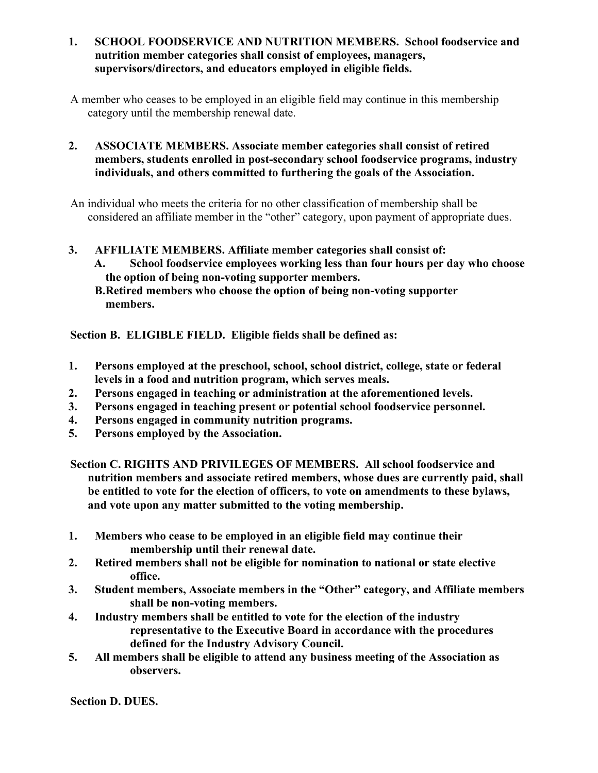**1. SCHOOL FOODSERVICE AND NUTRITION MEMBERS. School foodservice and nutrition member categories shall consist of employees, managers, supervisors/directors, and educators employed in eligible fields.**

A member who ceases to be employed in an eligible field may continue in this membership category until the membership renewal date.

**2. ASSOCIATE MEMBERS. Associate member categories shall consist of retired members, students enrolled in post-secondary school foodservice programs, industry individuals, and others committed to furthering the goals of the Association.**

An individual who meets the criteria for no other classification of membership shall be considered an affiliate member in the "other" category, upon payment of appropriate dues.

- **3. AFFILIATE MEMBERS. Affiliate member categories shall consist of:**
	- **A. School foodservice employees working less than four hours per day who choose the option of being non-voting supporter members.**

**Section B. ELIGIBLE FIELD. Eligible fields shall be defined as:**

- **1. Persons employed at the preschool, school, school district, college, state or federal levels in a food and nutrition program, which serves meals.**
- **2. Persons engaged in teaching or administration at the aforementioned levels.**
- **3. Persons engaged in teaching present or potential school foodservice personnel.**
- **4. Persons engaged in community nutrition programs.**
- **5. Persons employed by the Association.**
- **Section C. RIGHTS AND PRIVILEGES OF MEMBERS. All school foodservice and nutrition members and associate retired members, whose dues are currently paid, shall be entitled to vote for the election of officers, to vote on amendments to these bylaws, and vote upon any matter submitted to the voting membership.**
- **1. Members who cease to be employed in an eligible field may continue their membership until their renewal date.**
- **2. Retired members shall not be eligible for nomination to national or state elective office.**
- **3. Student members, Associate members in the "Other" category, and Affiliate members shall be non-voting members.**
- **4. Industry members shall be entitled to vote for the election of the industry representative to the Executive Board in accordance with the procedures defined for the Industry Advisory Council.**
- **5. All members shall be eligible to attend any business meeting of the Association as observers.**

**Section D. DUES.**

**B.Retired members who choose the option of being non-voting supporter members.**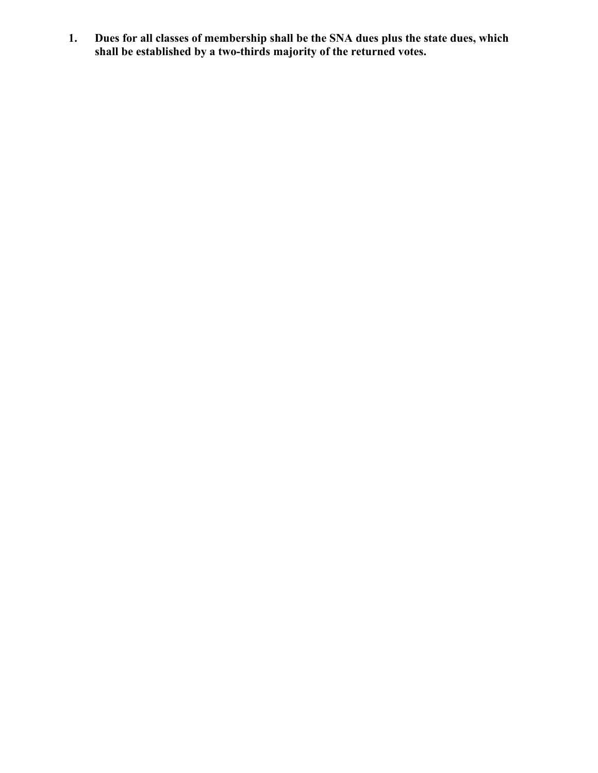**1. Dues for all classes of membership shall be the SNA dues plus the state dues, which shall be established by a two-thirds majority of the returned votes.**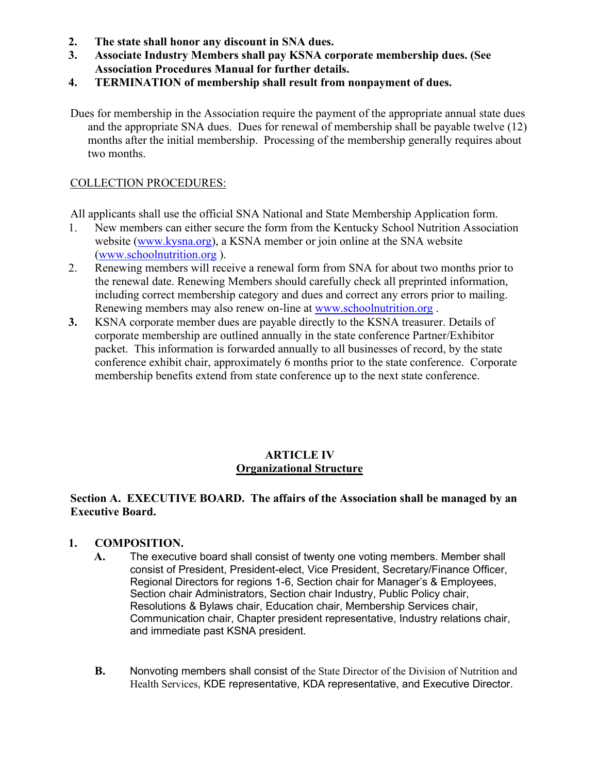- **2. The state shall honor any discount in SNA dues.**
- **3. Associate Industry Members shall pay KSNA corporate membership dues. (See Association Procedures Manual for further details.**
- **4. TERMINATION of membership shall result from nonpayment of dues.**
- Dues for membership in the Association require the payment of the appropriate annual state dues and the appropriate SNA dues. Dues for renewal of membership shall be payable twelve (12) months after the initial membership. Processing of the membership generally requires about two months.

# COLLECTION PROCEDURES:

All applicants shall use the official SNA National and State Membership Application form.

- 1. New members can either secure the form from the Kentucky School Nutrition Association website [\(www.kysna.org\)](http://www.kysna.org/), a KSNA member or join online at the SNA website [\(www.schoolnutrition.org](http://www.schoolnutrition.org/) [\)](http://www.schoolnutrition.org/).
- 2. Renewing members will receive a renewal form from SNA for about two months prior to the renewal date. Renewing Members should carefully check all preprinted information, including correct membership category and dues and correct any errors prior to mailing. Renewing members may also renew on-line at [www.schoolnutrition.org](http://www.schoolnutrition.org/) [.](http://www.schoolnutrition.org/)
- **3.** KSNA corporate member dues are payable directly to the KSNA treasurer. Details of corporate membership are outlined annually in the state conference Partner/Exhibitor packet. This information is forwarded annually to all businesses of record, by the state conference exhibit chair, approximately 6 months prior to the state conference. Corporate membership benefits extend from state conference up to the next state conference.

#### **ARTICLE IV Organizational Structure**

#### **Section A. EXECUTIVE BOARD. The affairs of the Association shall be managed by an Executive Board.**

#### **1. COMPOSITION.**

- **A.** The executive board shall consist of twenty one voting members. Member shall consist of President, President-elect, Vice President, Secretary/Finance Officer, Regional Directors for regions 1-6, Section chair for Manager's & Employees, Section chair Administrators, Section chair Industry, Public Policy chair, Resolutions & Bylaws chair, Education chair, Membership Services chair, Communication chair, Chapter president representative, Industry relations chair, and immediate past KSNA president.
- **B.** Nonvoting members shall consist of the State Director of the Division of Nutrition and Health Services, KDE representative, KDA representative, and Executive Director.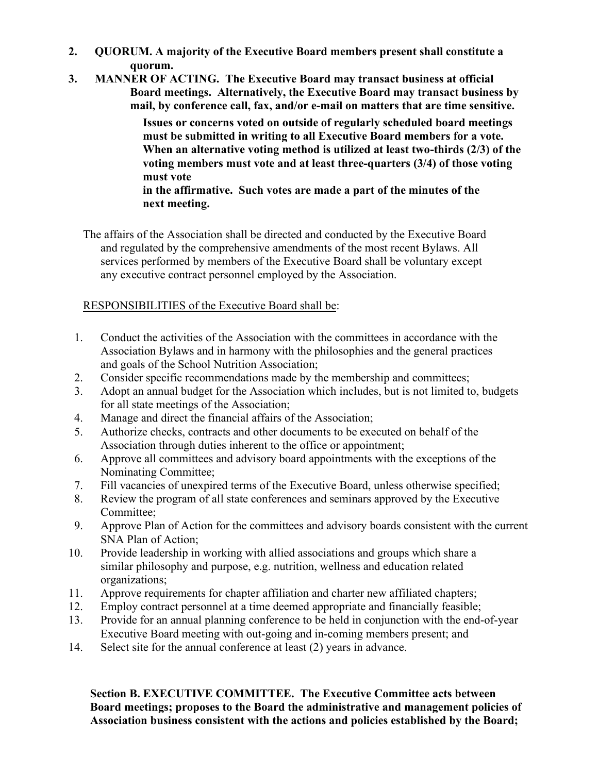- **2. QUORUM. A majority of the Executive Board members present shall constitute a quorum.**
- **3. MANNER OF ACTING. The Executive Board may transact business at official Board meetings. Alternatively, the Executive Board may transact business by mail, by conference call, fax, and/or e-mail on matters that are time sensitive.**

**Issues or concerns voted on outside of regularly scheduled board meetings must be submitted in writing to all Executive Board members for a vote. When an alternative voting method is utilized at least two-thirds (2/3) of the voting members must vote and at least three-quarters (3/4) of those voting must vote**

**in the affirmative. Such votes are made a part of the minutes of the next meeting.**

The affairs of the Association shall be directed and conducted by the Executive Board and regulated by the comprehensive amendments of the most recent Bylaws. All services performed by members of the Executive Board shall be voluntary except any executive contract personnel employed by the Association.

# RESPONSIBILITIES of the Executive Board shall be:

- 1. Conduct the activities of the Association with the committees in accordance with the Association Bylaws and in harmony with the philosophies and the general practices and goals of the School Nutrition Association;
- 2. Consider specific recommendations made by the membership and committees;
- 3. Adopt an annual budget for the Association which includes, but is not limited to, budgets for all state meetings of the Association;
- 4. Manage and direct the financial affairs of the Association;
- 5. Authorize checks, contracts and other documents to be executed on behalf of the Association through duties inherent to the office or appointment;
- 6. Approve all committees and advisory board appointments with the exceptions of the Nominating Committee;
- 7. Fill vacancies of unexpired terms of the Executive Board, unless otherwise specified;
- 8. Review the program of all state conferences and seminars approved by the Executive Committee;
- 9. Approve Plan of Action for the committees and advisory boards consistent with the current SNA Plan of Action;
- 10. Provide leadership in working with allied associations and groups which share a similar philosophy and purpose, e.g. nutrition, wellness and education related organizations;
- 11. Approve requirements for chapter affiliation and charter new affiliated chapters;
- 12. Employ contract personnel at a time deemed appropriate and financially feasible;
- 13. Provide for an annual planning conference to be held in conjunction with the end-of-year Executive Board meeting with out-going and in-coming members present; and
- 14. Select site for the annual conference at least (2) years in advance.

**Section B. EXECUTIVE COMMITTEE. The Executive Committee acts between Board meetings; proposes to the Board the administrative and management policies of Association business consistent with the actions and policies established by the Board;**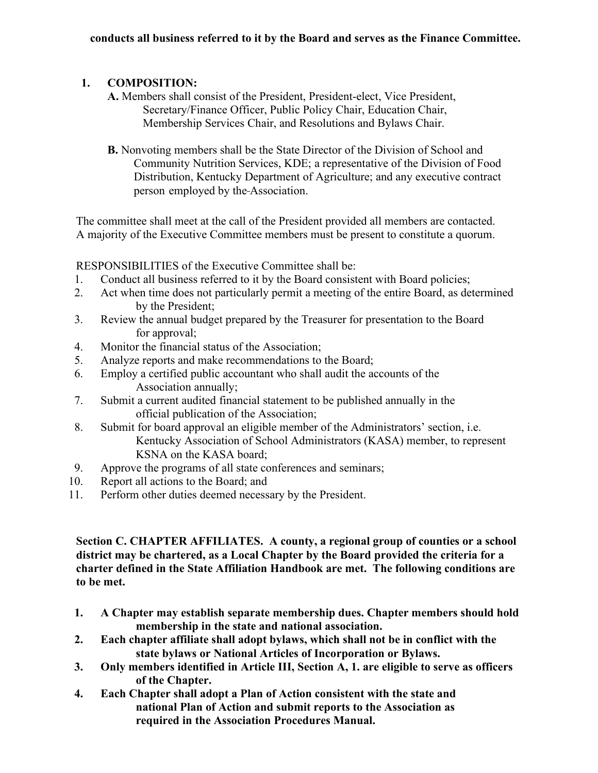# **1. COMPOSITION:**

- **A.** Members shall consist of the President, President-elect, Vice President, Secretary/Finance Officer, Public Policy Chair, Education Chair, Membership Services Chair, and Resolutions and Bylaws Chair.
- **B.** Nonvoting members shall be the State Director of the Division of School and Community Nutrition Services, KDE; a representative of the Division of Food Distribution, Kentucky Department of Agriculture; and any executive contract person employed by the Association.

The committee shall meet at the call of the President provided all members are contacted. A majority of the Executive Committee members must be present to constitute a quorum.

RESPONSIBILITIES of the Executive Committee shall be:

- 1. Conduct all business referred to it by the Board consistent with Board policies;
- 2. Act when time does not particularly permit a meeting of the entire Board, as determined by the President;
- 3. Review the annual budget prepared by the Treasurer for presentation to the Board for approval;
- 4. Monitor the financial status of the Association;
- 5. Analyze reports and make recommendations to the Board;
- 6. Employ a certified public accountant who shall audit the accounts of the Association annually;
- 7. Submit a current audited financial statement to be published annually in the official publication of the Association;
- 8. Submit for board approval an eligible member of the Administrators' section, i.e. Kentucky Association of School Administrators (KASA) member, to represent KSNA on the KASA board;
- 9. Approve the programs of all state conferences and seminars;
- 10. Report all actions to the Board; and
- 11. Perform other duties deemed necessary by the President.

**Section C. CHAPTER AFFILIATES. A county, a regional group of counties or a school district may be chartered, as a Local Chapter by the Board provided the criteria for a charter defined in the State Affiliation Handbook are met. The following conditions are to be met.**

- **1. A Chapter may establish separate membership dues. Chapter members should hold membership in the state and national association.**
- **2. Each chapter affiliate shall adopt bylaws, which shall not be in conflict with the state bylaws or National Articles of Incorporation or Bylaws.**
- **3. Only members identified in Article III, Section A, 1. are eligible to serve as officers of the Chapter.**
- **4. Each Chapter shall adopt a Plan of Action consistent with the state and national Plan of Action and submit reports to the Association as required in the Association Procedures Manual.**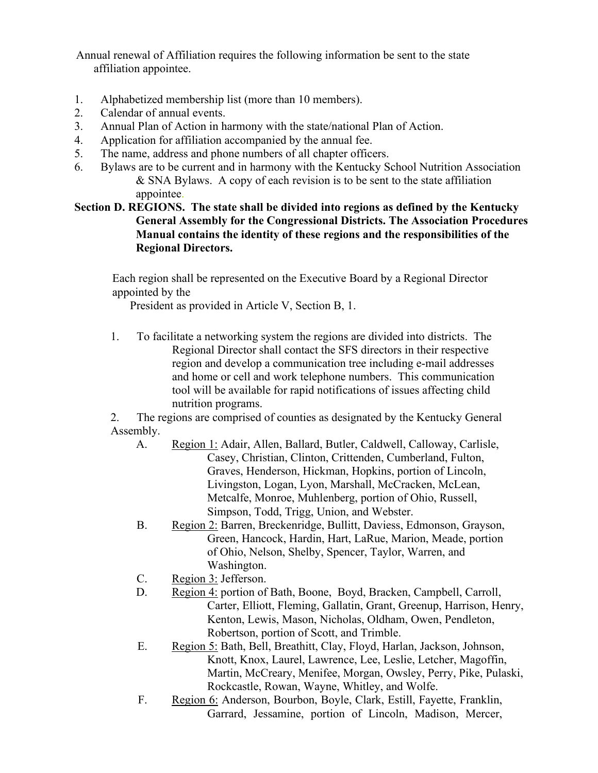Annual renewal of Affiliation requires the following information be sent to the state affiliation appointee.

- 1. Alphabetized membership list (more than 10 members).
- 2. Calendar of annual events.
- 3. Annual Plan of Action in harmony with the state/national Plan of Action.
- 4. Application for affiliation accompanied by the annual fee.
- 5. The name, address and phone numbers of all chapter officers.
- 6. Bylaws are to be current and in harmony with the Kentucky School Nutrition Association & SNA Bylaws. A copy of each revision is to be sent to the state affiliation appointee.

**Section D. REGIONS. The state shall be divided into regions as defined by the Kentucky General Assembly for the Congressional Districts. The Association Procedures Manual contains the identity of these regions and the responsibilities of the Regional Directors.**

Each region shall be represented on the Executive Board by a Regional Director appointed by the

President as provided in Article V, Section B, 1.

1. To facilitate a networking system the regions are divided into districts. The Regional Director shall contact the SFS directors in their respective region and develop a communication tree including e-mail addresses and home or cell and work telephone numbers. This communication tool will be available for rapid notifications of issues affecting child nutrition programs.

2. The regions are comprised of counties as designated by the Kentucky General Assembly.

- A. Region 1: Adair, Allen, Ballard, Butler, Caldwell, Calloway, Carlisle, Casey, Christian, Clinton, Crittenden, Cumberland, Fulton, Graves, Henderson, Hickman, Hopkins, portion of Lincoln, Livingston, Logan, Lyon, Marshall, McCracken, McLean, Metcalfe, Monroe, Muhlenberg, portion of Ohio, Russell, Simpson, Todd, Trigg, Union, and Webster.
- B. Region 2: Barren, Breckenridge, Bullitt, Daviess, Edmonson, Grayson, Green, Hancock, Hardin, Hart, LaRue, Marion, Meade, portion of Ohio, Nelson, Shelby, Spencer, Taylor, Warren, and Washington.
- C. Region 3: Jefferson.
- D. Region 4: portion of Bath, Boone, Boyd, Bracken, Campbell, Carroll, Carter, Elliott, Fleming, Gallatin, Grant, Greenup, Harrison, Henry, Kenton, Lewis, Mason, Nicholas, Oldham, Owen, Pendleton, Robertson, portion of Scott, and Trimble.
- E. Region 5: Bath, Bell, Breathitt, Clay, Floyd, Harlan, Jackson, Johnson, Knott, Knox, Laurel, Lawrence, Lee, Leslie, Letcher, Magoffin, Martin, McCreary, Menifee, Morgan, Owsley, Perry, Pike, Pulaski, Rockcastle, Rowan, Wayne, Whitley, and Wolfe.
- F. Region 6: Anderson, Bourbon, Boyle, Clark, Estill, Fayette, Franklin, Garrard, Jessamine, portion of Lincoln, Madison, Mercer,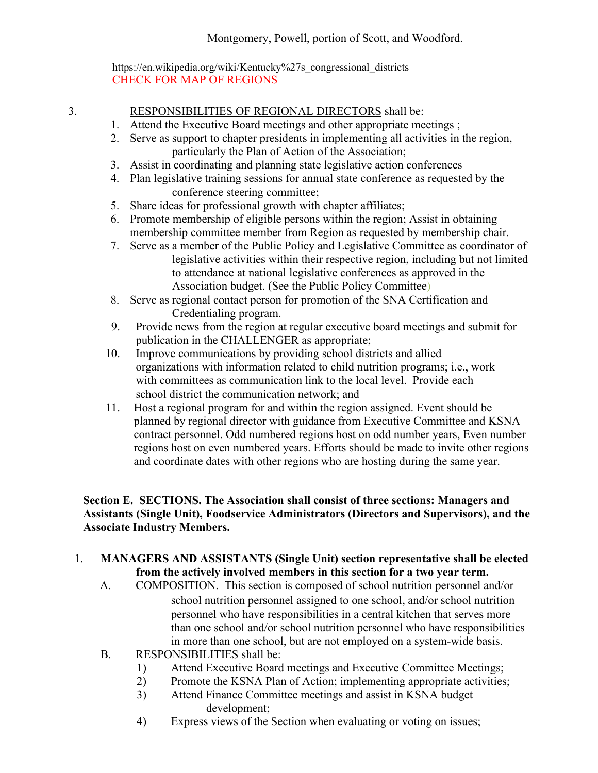https://en.wikipedia.org/wiki/Kentucky%27s\_congressional\_district[s](http://www.lrc.ky.gov/)  CHECK FOR MAP OF REGIONS

# 3. RESPONSIBILITIES OF REGIONAL DIRECTORS shall be:

- 1. Attend the Executive Board meetings and other appropriate meetings ;
- 2. Serve as support to chapter presidents in implementing all activities in the region, particularly the Plan of Action of the Association;
- 3. Assist in coordinating and planning state legislative action conferences
- 4. Plan legislative training sessions for annual state conference as requested by the conference steering committee;
- 5. Share ideas for professional growth with chapter affiliates;
- 6. Promote membership of eligible persons within the region; Assist in obtaining membership committee member from Region as requested by membership chair.
- 7. Serve as a member of the Public Policy and Legislative Committee as coordinator of legislative activities within their respective region, including but not limited to attendance at national legislative conferences as approved in the Association budget. (See the Public Policy Committee)
- 8. Serve as regional contact person for promotion of the SNA Certification and Credentialing program.
- 9. Provide news from the region at regular executive board meetings and submit for publication in the CHALLENGER as appropriate;
- 10. Improve communications by providing school districts and allied organizations with information related to child nutrition programs; i.e., work with committees as communication link to the local level. Provide each school district the communication network; and
- 11. Host a regional program for and within the region assigned. Event should be planned by regional director with guidance from Executive Committee and KSNA contract personnel. Odd numbered regions host on odd number years, Even number regions host on even numbered years. Efforts should be made to invite other regions and coordinate dates with other regions who are hosting during the same year.

# **Section E. SECTIONS. The Association shall consist of three sections: Managers and Assistants (Single Unit), Foodservice Administrators (Directors and Supervisors), and the Associate Industry Members.**

# 1. **MANAGERS AND ASSISTANTS (Single Unit) section representative shall be elected from the actively involved members in this section for a two year term.**

- A. COMPOSITION. This section is composed of school nutrition personnel and/or school nutrition personnel assigned to one school, and/or school nutrition personnel who have responsibilities in a central kitchen that serves more than one school and/or school nutrition personnel who have responsibilities in more than one school, but are not employed on a system-wide basis.
- B. RESPONSIBILITIES shall be:
	- 1) Attend Executive Board meetings and Executive Committee Meetings;
	- 2) Promote the KSNA Plan of Action; implementing appropriate activities;
	- 3) Attend Finance Committee meetings and assist in KSNA budget development;
	- 4) Express views of the Section when evaluating or voting on issues;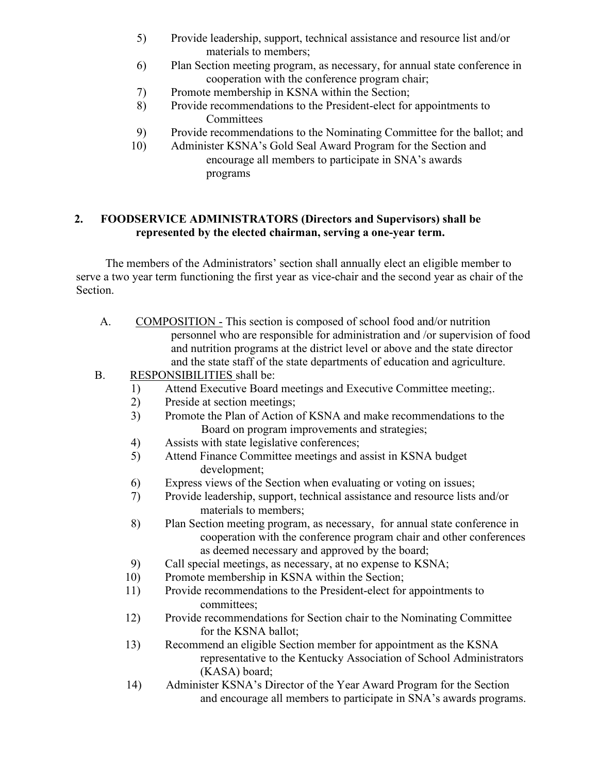- 5) Provide leadership, support, technical assistance and resource list and/or materials to members;
- 6) Plan Section meeting program, as necessary, for annual state conference in cooperation with the conference program chair;
- 7) Promote membership in KSNA within the Section;
- 8) Provide recommendations to the President-elect for appointments to **Committees**
- 9) Provide recommendations to the Nominating Committee for the ballot; and
- 10) Administer KSNA's Gold Seal Award Program for the Section and encourage all members to participate in SNA's awards programs

# **2. FOODSERVICE ADMINISTRATORS (Directors and Supervisors) shall be represented by the elected chairman, serving a one-year term.**

The members of the Administrators' section shall annually elect an eligible member to serve a two year term functioning the first year as vice-chair and the second year as chair of the Section.

- A. COMPOSITION This section is composed of school food and/or nutrition personnel who are responsible for administration and /or supervision of food and nutrition programs at the district level or above and the state director and the state staff of the state departments of education and agriculture.
- B. RESPONSIBILITIES shall be:
	- 1) Attend Executive Board meetings and Executive Committee meeting;.
	- 2) Preside at section meetings;
	- 3) Promote the Plan of Action of KSNA and make recommendations to the Board on program improvements and strategies;
	- 4) Assists with state legislative conferences;
	- 5) Attend Finance Committee meetings and assist in KSNA budget development;
	- 6) Express views of the Section when evaluating or voting on issues;
	- 7) Provide leadership, support, technical assistance and resource lists and/or materials to members;
	- 8) Plan Section meeting program, as necessary, for annual state conference in cooperation with the conference program chair and other conferences as deemed necessary and approved by the board;
	- 9) Call special meetings, as necessary, at no expense to KSNA;
	- 10) Promote membership in KSNA within the Section;
	- 11) Provide recommendations to the President-elect for appointments to committees;
	- 12) Provide recommendations for Section chair to the Nominating Committee for the KSNA ballot;
	- 13) Recommend an eligible Section member for appointment as the KSNA representative to the Kentucky Association of School Administrators (KASA) board;
	- 14) Administer KSNA's Director of the Year Award Program for the Section and encourage all members to participate in SNA's awards programs.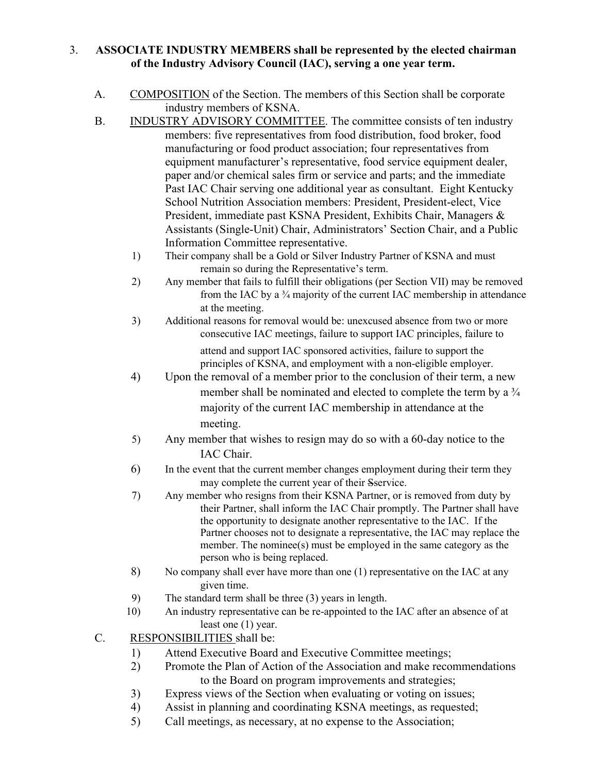#### 3. **ASSOCIATE INDUSTRY MEMBERS shall be represented by the elected chairman of the Industry Advisory Council (IAC), serving a one year term.**

- A. COMPOSITION of the Section. The members of this Section shall be corporate industry members of KSNA.
- B. INDUSTRY ADVISORY COMMITTEE. The committee consists of ten industry members: five representatives from food distribution, food broker, food manufacturing or food product association; four representatives from equipment manufacturer's representative, food service equipment dealer, paper and/or chemical sales firm or service and parts; and the immediate Past IAC Chair serving one additional year as consultant. Eight Kentucky School Nutrition Association members: President, President-elect, Vice President, immediate past KSNA President, Exhibits Chair, Managers & Assistants (Single-Unit) Chair, Administrators' Section Chair, and a Public Information Committee representative.
	- 1) Their company shall be a Gold or Silver Industry Partner of KSNA and must remain so during the Representative's term.
	- 2) Any member that fails to fulfill their obligations (per Section VII) may be removed from the IAC by a <sup>3</sup>/<sub>4</sub> majority of the current IAC membership in attendance at the meeting.
	- 3) Additional reasons for removal would be: unexcused absence from two or more consecutive IAC meetings, failure to support IAC principles, failure to attend and support IAC sponsored activities, failure to support the

principles of KSNA, and employment with a non-eligible employer.

- 4) Upon the removal of a member prior to the conclusion of their term, a new member shall be nominated and elected to complete the term by a  $\frac{3}{4}$ majority of the current IAC membership in attendance at the meeting.
- 5) Any member that wishes to resign may do so with a 60-day notice to the IAC Chair.
- 6) In the event that the current member changes employment during their term they may complete the current year of their Sservice.
- 7) Any member who resigns from their KSNA Partner, or is removed from duty by their Partner, shall inform the IAC Chair promptly. The Partner shall have the opportunity to designate another representative to the IAC. If the Partner chooses not to designate a representative, the IAC may replace the member. The nominee(s) must be employed in the same category as the person who is being replaced.
- 8) No company shall ever have more than one (1) representative on the IAC at any given time.
- 9) The standard term shall be three (3) years in length.
- 10) An industry representative can be re-appointed to the IAC after an absence of at least one (1) year.
- C. RESPONSIBILITIES shall be:
	- 1) Attend Executive Board and Executive Committee meetings;
	- 2) Promote the Plan of Action of the Association and make recommendations to the Board on program improvements and strategies;
	- 3) Express views of the Section when evaluating or voting on issues;
	- 4) Assist in planning and coordinating KSNA meetings, as requested;
	- 5) Call meetings, as necessary, at no expense to the Association;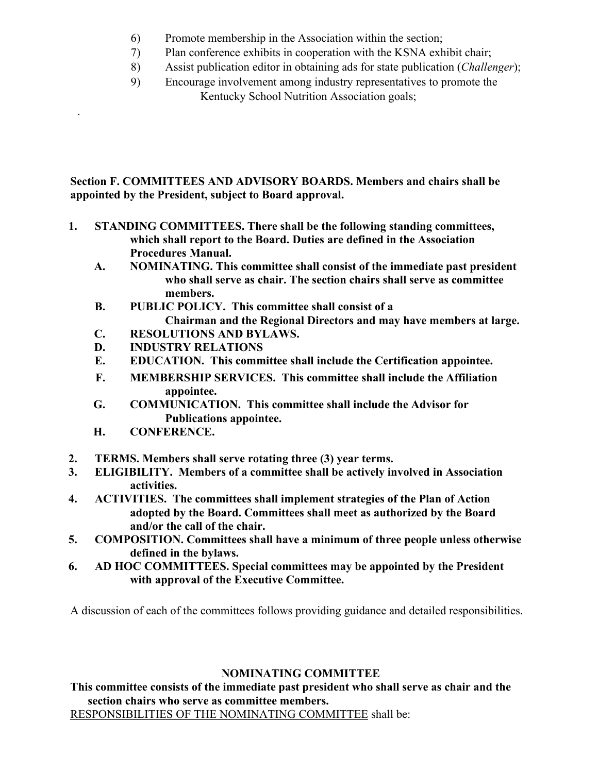- 6) Promote membership in the Association within the section;
- 7) Plan conference exhibits in cooperation with the KSNA exhibit chair;
- 8) Assist publication editor in obtaining ads for state publication (*Challenger*);
- 9) Encourage involvement among industry representatives to promote the Kentucky School Nutrition Association goals;

**Section F. COMMITTEES AND ADVISORY BOARDS. Members and chairs shall be appointed by the President, subject to Board approval.**

- **1. STANDING COMMITTEES. There shall be the following standing committees, which shall report to the Board. Duties are defined in the Association Procedures Manual.**
	- **A. NOMINATING. This committee shall consist of the immediate past president who shall serve as chair. The section chairs shall serve as committee members.**
	- **B. PUBLIC POLICY. This committee shall consist of a Chairman and the Regional Directors and may have members at large.**
	- **C. RESOLUTIONS AND BYLAWS.**
	- **D. INDUSTRY RELATIONS**
	- **E. EDUCATION. This committee shall include the Certification appointee.**
	- **F. MEMBERSHIP SERVICES. This committee shall include the Affiliation appointee.**
	- **G. COMMUNICATION. This committee shall include the Advisor for Publications appointee.**
	- **H. CONFERENCE.**

.

- **2. TERMS. Members shall serve rotating three (3) year terms.**
- **3. ELIGIBILITY. Members of a committee shall be actively involved in Association activities.**
- **4. ACTIVITIES. The committees shall implement strategies of the Plan of Action adopted by the Board. Committees shall meet as authorized by the Board and/or the call of the chair.**
- **5. COMPOSITION. Committees shall have a minimum of three people unless otherwise defined in the bylaws.**
- **6. AD HOC COMMITTEES. Special committees may be appointed by the President with approval of the Executive Committee.**

A discussion of each of the committees follows providing guidance and detailed responsibilities.

# **NOMINATING COMMITTEE**

**This committee consists of the immediate past president who shall serve as chair and the section chairs who serve as committee members.**

RESPONSIBILITIES OF THE NOMINATING COMMITTEE shall be: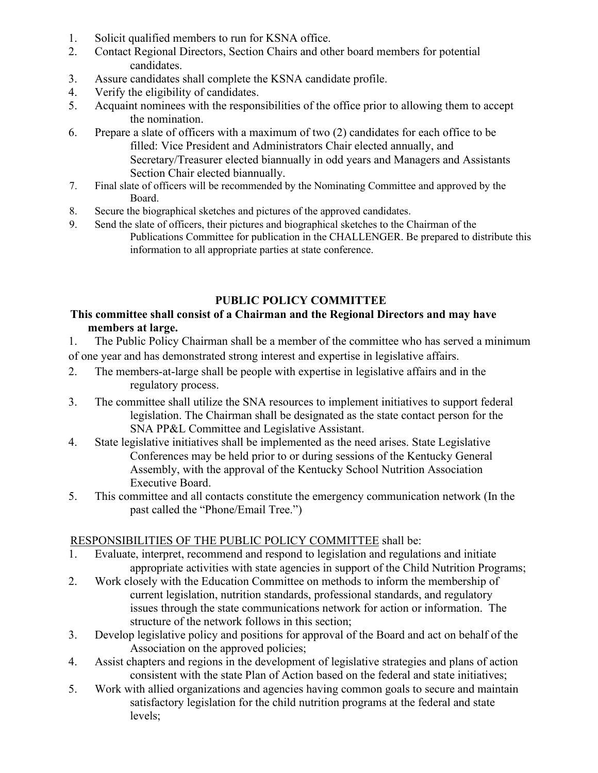- 1. Solicit qualified members to run for KSNA office.
- 2. Contact Regional Directors, Section Chairs and other board members for potential candidates.
- 3. Assure candidates shall complete the KSNA candidate profile.
- 4. Verify the eligibility of candidates.
- 5. Acquaint nominees with the responsibilities of the office prior to allowing them to accept the nomination.
- 6. Prepare a slate of officers with a maximum of two (2) candidates for each office to be filled: Vice President and Administrators Chair elected annually, and Secretary/Treasurer elected biannually in odd years and Managers and Assistants Section Chair elected biannually.
- 7. Final slate of officers will be recommended by the Nominating Committee and approved by the Board.
- 8. Secure the biographical sketches and pictures of the approved candidates.
- 9. Send the slate of officers, their pictures and biographical sketches to the Chairman of the Publications Committee for publication in the CHALLENGER. Be prepared to distribute this information to all appropriate parties at state conference.

# **PUBLIC POLICY COMMITTEE**

# **This committee shall consist of a Chairman and the Regional Directors and may have members at large.**

- 1. The Public Policy Chairman shall be a member of the committee who has served a minimum of one year and has demonstrated strong interest and expertise in legislative affairs.
- 2. The members-at-large shall be people with expertise in legislative affairs and in the regulatory process.
- 3. The committee shall utilize the SNA resources to implement initiatives to support federal legislation. The Chairman shall be designated as the state contact person for the SNA PP&L Committee and Legislative Assistant.
- 4. State legislative initiatives shall be implemented as the need arises. State Legislative Conferences may be held prior to or during sessions of the Kentucky General Assembly, with the approval of the Kentucky School Nutrition Association Executive Board.
- 5. This committee and all contacts constitute the emergency communication network (In the past called the "Phone/Email Tree.")

# RESPONSIBILITIES OF THE PUBLIC POLICY COMMITTEE shall be:

- 1. Evaluate, interpret, recommend and respond to legislation and regulations and initiate appropriate activities with state agencies in support of the Child Nutrition Programs;
- 2. Work closely with the Education Committee on methods to inform the membership of current legislation, nutrition standards, professional standards, and regulatory issues through the state communications network for action or information. The structure of the network follows in this section;
- 3. Develop legislative policy and positions for approval of the Board and act on behalf of the Association on the approved policies;
- 4. Assist chapters and regions in the development of legislative strategies and plans of action consistent with the state Plan of Action based on the federal and state initiatives;
- 5. Work with allied organizations and agencies having common goals to secure and maintain satisfactory legislation for the child nutrition programs at the federal and state levels;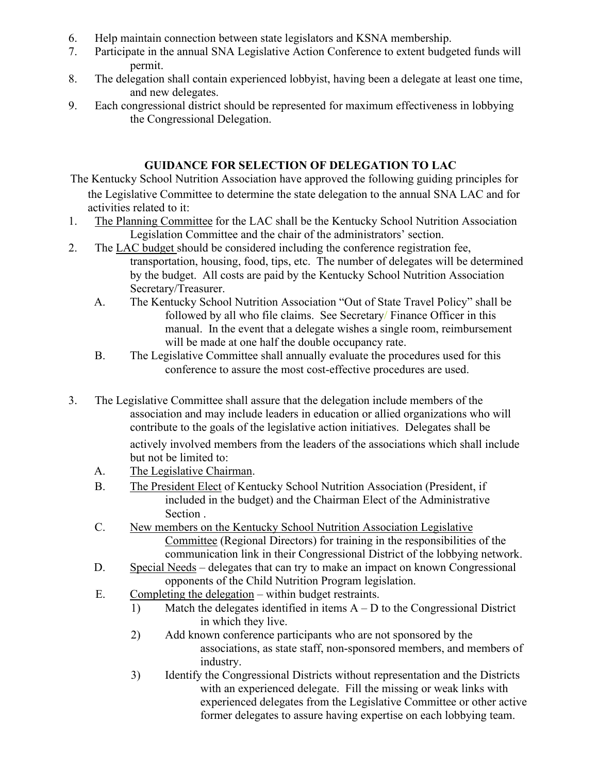- 6. Help maintain connection between state legislators and KSNA membership.
- 7. Participate in the annual SNA Legislative Action Conference to extent budgeted funds will permit.
- 8. The delegation shall contain experienced lobbyist, having been a delegate at least one time, and new delegates.
- 9. Each congressional district should be represented for maximum effectiveness in lobbying the Congressional Delegation.

# **GUIDANCE FOR SELECTION OF DELEGATION TO LAC**

- The Kentucky School Nutrition Association have approved the following guiding principles for the Legislative Committee to determine the state delegation to the annual SNA LAC and for activities related to it:
- 1. The Planning Committee for the LAC shall be the Kentucky School Nutrition Association Legislation Committee and the chair of the administrators' section.
- 2. The LAC budget should be considered including the conference registration fee, transportation, housing, food, tips, etc. The number of delegates will be determined by the budget. All costs are paid by the Kentucky School Nutrition Association Secretary/Treasurer.
	- A. The Kentucky School Nutrition Association "Out of State Travel Policy" shall be followed by all who file claims. See Secretary/ Finance Officer in this manual. In the event that a delegate wishes a single room, reimbursement will be made at one half the double occupancy rate.
	- B. The Legislative Committee shall annually evaluate the procedures used for this conference to assure the most cost-effective procedures are used.
- 3. The Legislative Committee shall assure that the delegation include members of the association and may include leaders in education or allied organizations who will contribute to the goals of the legislative action initiatives. Delegates shall be actively involved members from the leaders of the associations which shall include but not be limited to:
	- A. The Legislative Chairman.
	- B. The President Elect of Kentucky School Nutrition Association (President, if included in the budget) and the Chairman Elect of the Administrative Section .
	- C. New members on the Kentucky School Nutrition Association Legislative Committee (Regional Directors) for training in the responsibilities of the communication link in their Congressional District of the lobbying network.
	- D. Special Needs delegates that can try to make an impact on known Congressional opponents of the Child Nutrition Program legislation.
	- E. Completing the delegation within budget restraints.
		- 1) Match the delegates identified in items A D to the Congressional District in which they live.
		- 2) Add known conference participants who are not sponsored by the associations, as state staff, non-sponsored members, and members of industry.
		- 3) Identify the Congressional Districts without representation and the Districts with an experienced delegate. Fill the missing or weak links with experienced delegates from the Legislative Committee or other active former delegates to assure having expertise on each lobbying team.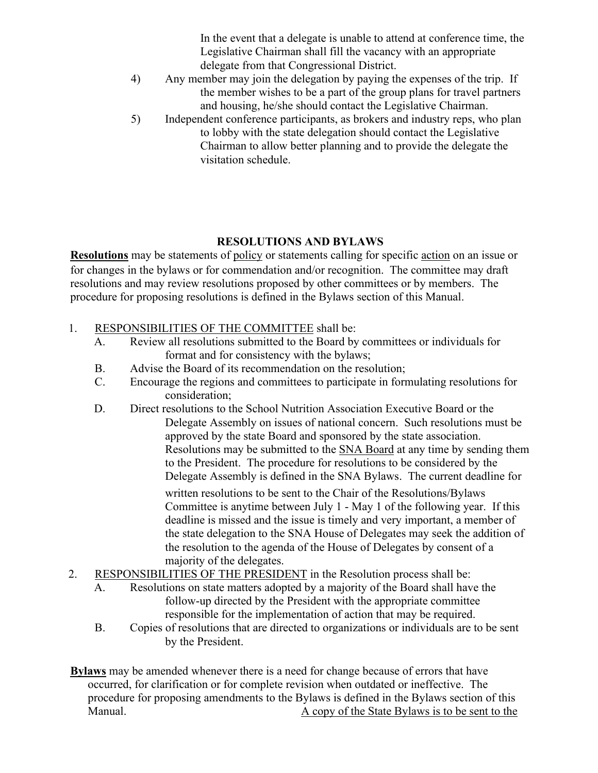In the event that a delegate is unable to attend at conference time, the Legislative Chairman shall fill the vacancy with an appropriate delegate from that Congressional District.

- 4) Any member may join the delegation by paying the expenses of the trip. If the member wishes to be a part of the group plans for travel partners and housing, he/she should contact the Legislative Chairman.
- 5) Independent conference participants, as brokers and industry reps, who plan to lobby with the state delegation should contact the Legislative Chairman to allow better planning and to provide the delegate the visitation schedule.

# **RESOLUTIONS AND BYLAWS**

**Resolutions** may be statements of policy or statements calling for specific action on an issue or for changes in the bylaws or for commendation and/or recognition. The committee may draft resolutions and may review resolutions proposed by other committees or by members. The procedure for proposing resolutions is defined in the Bylaws section of this Manual.

- 1. RESPONSIBILITIES OF THE COMMITTEE shall be:
	- A. Review all resolutions submitted to the Board by committees or individuals for format and for consistency with the bylaws;
	- B. Advise the Board of its recommendation on the resolution;
	- C. Encourage the regions and committees to participate in formulating resolutions for consideration;
	- D. Direct resolutions to the School Nutrition Association Executive Board or the Delegate Assembly on issues of national concern. Such resolutions must be approved by the state Board and sponsored by the state association. Resolutions may be submitted to the **SNA Board** at any time by sending them to the President. The procedure for resolutions to be considered by the Delegate Assembly is defined in the SNA Bylaws. The current deadline for

written resolutions to be sent to the Chair of the Resolutions/Bylaws Committee is anytime between July 1 - May 1 of the following year. If this deadline is missed and the issue is timely and very important, a member of the state delegation to the SNA House of Delegates may seek the addition of the resolution to the agenda of the House of Delegates by consent of a majority of the delegates.

- 2. RESPONSIBILITIES OF THE PRESIDENT in the Resolution process shall be:
	- A. Resolutions on state matters adopted by a majority of the Board shall have the follow-up directed by the President with the appropriate committee responsible for the implementation of action that may be required.
	- B. Copies of resolutions that are directed to organizations or individuals are to be sent by the President.

**Bylaws** may be amended whenever there is a need for change because of errors that have occurred, for clarification or for complete revision when outdated or ineffective. The procedure for proposing amendments to the Bylaws is defined in the Bylaws section of this Manual. Manual. A copy of the State Bylaws is to be sent to the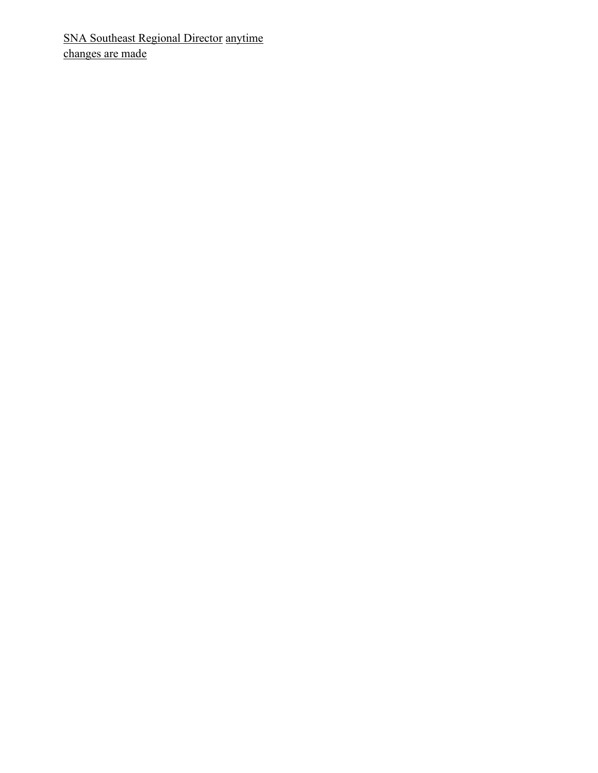SNA Southeast Regional Director anytime changes are made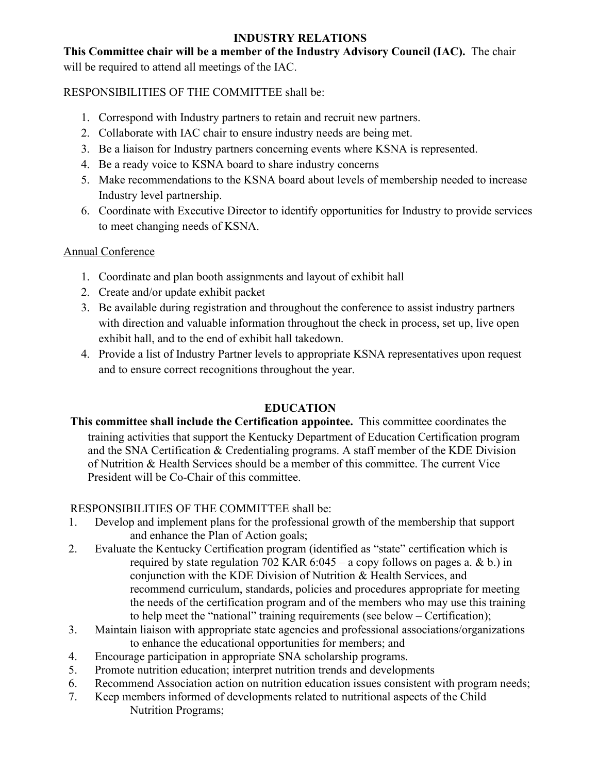# **INDUSTRY RELATIONS**

**This Committee chair will be a member of the Industry Advisory Council (IAC).** The chair will be required to attend all meetings of the IAC.

RESPONSIBILITIES OF THE COMMITTEE shall be:

- 1. Correspond with Industry partners to retain and recruit new partners.
- 2. Collaborate with IAC chair to ensure industry needs are being met.
- 3. Be a liaison for Industry partners concerning events where KSNA is represented.
- 4. Be a ready voice to KSNA board to share industry concerns
- 5. Make recommendations to the KSNA board about levels of membership needed to increase Industry level partnership.
- 6. Coordinate with Executive Director to identify opportunities for Industry to provide services to meet changing needs of KSNA.

# Annual Conference

- 1. Coordinate and plan booth assignments and layout of exhibit hall
- 2. Create and/or update exhibit packet
- 3. Be available during registration and throughout the conference to assist industry partners with direction and valuable information throughout the check in process, set up, live open exhibit hall, and to the end of exhibit hall takedown.
- 4. Provide a list of Industry Partner levels to appropriate KSNA representatives upon request and to ensure correct recognitions throughout the year.

# **EDUCATION**

**This committee shall include the Certification appointee.** This committee coordinates the training activities that support the Kentucky Department of Education Certification program and the SNA Certification & Credentialing programs. A staff member of the KDE Division of Nutrition & Health Services should be a member of this committee. The current Vice President will be Co-Chair of this committee.

# RESPONSIBILITIES OF THE COMMITTEE shall be:

- 1. Develop and implement plans for the professional growth of the membership that support and enhance the Plan of Action goals;
- 2. Evaluate the Kentucky Certification program (identified as "state" certification which is required by state regulation 702 KAR  $6:045 - a$  copy follows on pages a. & b.) in conjunction with the KDE Division of Nutrition & Health Services, and recommend curriculum, standards, policies and procedures appropriate for meeting the needs of the certification program and of the members who may use this training to help meet the "national" training requirements (see below – Certification);
- 3. Maintain liaison with appropriate state agencies and professional associations/organizations to enhance the educational opportunities for members; and
- 4. Encourage participation in appropriate SNA scholarship programs.
- 5. Promote nutrition education; interpret nutrition trends and developments
- 6. Recommend Association action on nutrition education issues consistent with program needs;
- 7. Keep members informed of developments related to nutritional aspects of the Child Nutrition Programs;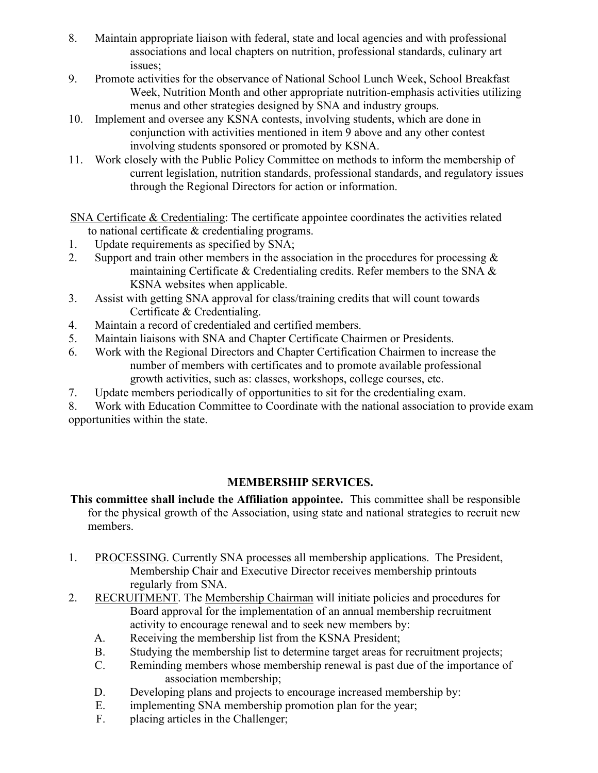- 8. Maintain appropriate liaison with federal, state and local agencies and with professional associations and local chapters on nutrition, professional standards, culinary art issues;
- 9. Promote activities for the observance of National School Lunch Week, School Breakfast Week, Nutrition Month and other appropriate nutrition-emphasis activities utilizing menus and other strategies designed by SNA and industry groups.
- 10. Implement and oversee any KSNA contests, involving students, which are done in conjunction with activities mentioned in item 9 above and any other contest involving students sponsored or promoted by KSNA.
- 11. Work closely with the Public Policy Committee on methods to inform the membership of current legislation, nutrition standards, professional standards, and regulatory issues through the Regional Directors for action or information.

SNA Certificate & Credentialing: The certificate appointee coordinates the activities related to national certificate & credentialing programs.

- 1. Update requirements as specified by SNA;
- 2. Support and train other members in the association in the procedures for processing  $\&$ maintaining Certificate & Credentialing credits. Refer members to the SNA & KSNA websites when applicable.
- 3. Assist with getting SNA approval for class/training credits that will count towards Certificate & Credentialing.
- 4. Maintain a record of credentialed and certified members.
- 5. Maintain liaisons with SNA and Chapter Certificate Chairmen or Presidents.
- 6. Work with the Regional Directors and Chapter Certification Chairmen to increase the number of members with certificates and to promote available professional growth activities, such as: classes, workshops, college courses, etc.
- 7. Update members periodically of opportunities to sit for the credentialing exam.

8. Work with Education Committee to Coordinate with the national association to provide exam opportunities within the state.

# **MEMBERSHIP SERVICES.**

- **This committee shall include the Affiliation appointee.** This committee shall be responsible for the physical growth of the Association, using state and national strategies to recruit new members.
- 1. PROCESSING. Currently SNA processes all membership applications. The President, Membership Chair and Executive Director receives membership printouts regularly from SNA.
- 2. RECRUITMENT. The Membership Chairman will initiate policies and procedures for Board approval for the implementation of an annual membership recruitment activity to encourage renewal and to seek new members by:
	- A. Receiving the membership list from the KSNA President;
	- B. Studying the membership list to determine target areas for recruitment projects;
	- C. Reminding members whose membership renewal is past due of the importance of association membership;
	- D. Developing plans and projects to encourage increased membership by:
	- E. implementing SNA membership promotion plan for the year;
	- F. placing articles in the Challenger;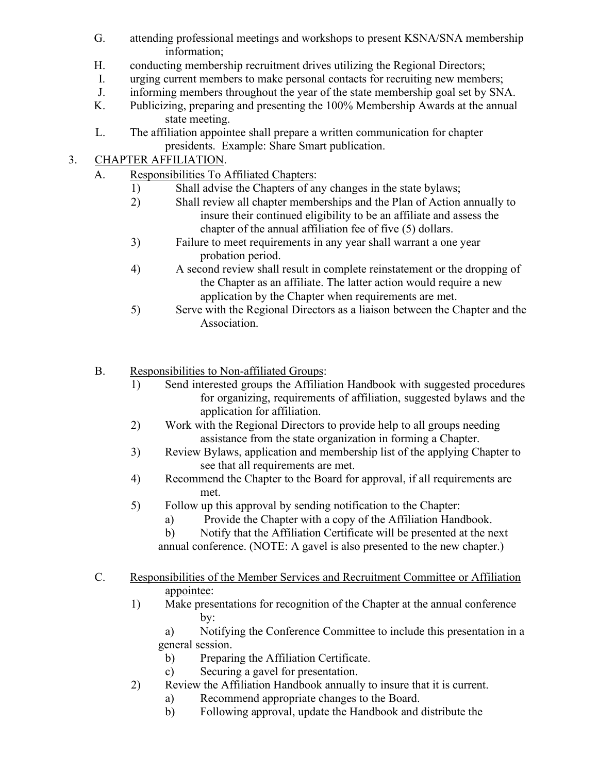- G. attending professional meetings and workshops to present KSNA/SNA membership information;
- H. conducting membership recruitment drives utilizing the Regional Directors;
- I. urging current members to make personal contacts for recruiting new members;
- J. informing members throughout the year of the state membership goal set by SNA.
- K. Publicizing, preparing and presenting the 100% Membership Awards at the annual state meeting.
- L. The affiliation appointee shall prepare a written communication for chapter presidents. Example: Share Smart publication.

# 3. CHAPTER AFFILIATION.

- A. Responsibilities To Affiliated Chapters:
	- 1) Shall advise the Chapters of any changes in the state bylaws;
	- 2) Shall review all chapter memberships and the Plan of Action annually to insure their continued eligibility to be an affiliate and assess the chapter of the annual affiliation fee of five (5) dollars.
	- 3) Failure to meet requirements in any year shall warrant a one year probation period.
	- 4) A second review shall result in complete reinstatement or the dropping of the Chapter as an affiliate. The latter action would require a new application by the Chapter when requirements are met.
	- 5) Serve with the Regional Directors as a liaison between the Chapter and the Association.
- B. Responsibilities to Non-affiliated Groups:
	- 1) Send interested groups the Affiliation Handbook with suggested procedures for organizing, requirements of affiliation, suggested bylaws and the application for affiliation.
	- 2) Work with the Regional Directors to provide help to all groups needing assistance from the state organization in forming a Chapter.
	- 3) Review Bylaws, application and membership list of the applying Chapter to see that all requirements are met.
	- 4) Recommend the Chapter to the Board for approval, if all requirements are met.
	- 5) Follow up this approval by sending notification to the Chapter:
		- a) Provide the Chapter with a copy of the Affiliation Handbook.
		- b) Notify that the Affiliation Certificate will be presented at the next

annual conference. (NOTE: A gavel is also presented to the new chapter.)

- C. Responsibilities of the Member Services and Recruitment Committee or Affiliation appointee:
	- 1) Make presentations for recognition of the Chapter at the annual conference by:
		- a) Notifying the Conference Committee to include this presentation in a general session.
		- b) Preparing the Affiliation Certificate.
		- c) Securing a gavel for presentation.
	- 2) Review the Affiliation Handbook annually to insure that it is current.
		- a) Recommend appropriate changes to the Board.
		- b) Following approval, update the Handbook and distribute the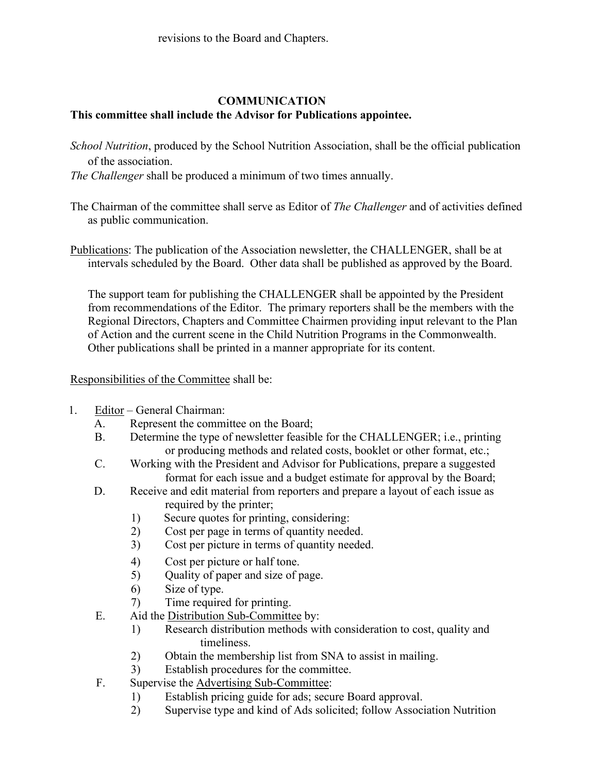#### **COMMUNICATION This committee shall include the Advisor for Publications appointee.**

- *School Nutrition*, produced by the School Nutrition Association, shall be the official publication of the association.
- *The Challenger* shall be produced a minimum of two times annually.
- The Chairman of the committee shall serve as Editor of *The Challenger* and of activities defined as public communication.
- Publications: The publication of the Association newsletter, the CHALLENGER, shall be at intervals scheduled by the Board. Other data shall be published as approved by the Board.

The support team for publishing the CHALLENGER shall be appointed by the President from recommendations of the Editor. The primary reporters shall be the members with the Regional Directors, Chapters and Committee Chairmen providing input relevant to the Plan of Action and the current scene in the Child Nutrition Programs in the Commonwealth. Other publications shall be printed in a manner appropriate for its content.

Responsibilities of the Committee shall be:

- 1. Editor General Chairman:
	- A. Represent the committee on the Board;
	- B. Determine the type of newsletter feasible for the CHALLENGER; i.e., printing or producing methods and related costs, booklet or other format, etc.;
	- C. Working with the President and Advisor for Publications, prepare a suggested format for each issue and a budget estimate for approval by the Board;
	- D. Receive and edit material from reporters and prepare a layout of each issue as required by the printer;
		- 1) Secure quotes for printing, considering:
		- 2) Cost per page in terms of quantity needed.
		- 3) Cost per picture in terms of quantity needed.
		- 4) Cost per picture or half tone.
		- 5) Quality of paper and size of page.
		- 6) Size of type.
		- 7) Time required for printing.
	- E. Aid the Distribution Sub-Committee by:
		- 1) Research distribution methods with consideration to cost, quality and timeliness.
		- 2) Obtain the membership list from SNA to assist in mailing.
		- 3) Establish procedures for the committee.
	- F. Supervise the Advertising Sub-Committee:
		- 1) Establish pricing guide for ads; secure Board approval.
		- 2) Supervise type and kind of Ads solicited; follow Association Nutrition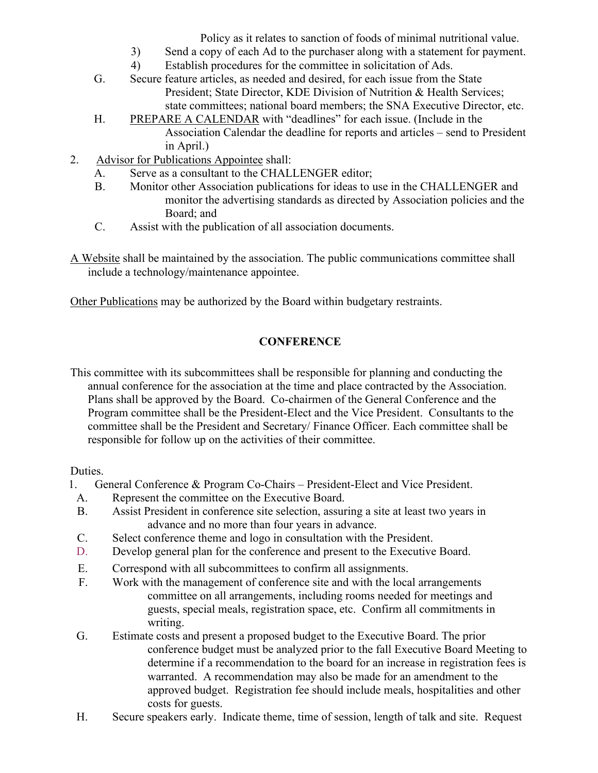Policy as it relates to sanction of foods of minimal nutritional value.

- 3) Send a copy of each Ad to the purchaser along with a statement for payment.
- 4) Establish procedures for the committee in solicitation of Ads.
- G. Secure feature articles, as needed and desired, for each issue from the State President; State Director, KDE Division of Nutrition & Health Services; state committees; national board members; the SNA Executive Director, etc.
- H. PREPARE A CALENDAR with "deadlines" for each issue. (Include in the Association Calendar the deadline for reports and articles – send to President in April.)
- 2. Advisor for Publications Appointee shall:
	- A. Serve as a consultant to the CHALLENGER editor;
	- B. Monitor other Association publications for ideas to use in the CHALLENGER and monitor the advertising standards as directed by Association policies and the Board; and
	- C. Assist with the publication of all association documents.
- A Website shall be maintained by the association. The public communications committee shall include a technology/maintenance appointee.

Other Publications may be authorized by the Board within budgetary restraints.

# **CONFERENCE**

This committee with its subcommittees shall be responsible for planning and conducting the annual conference for the association at the time and place contracted by the Association. Plans shall be approved by the Board. Co-chairmen of the General Conference and the Program committee shall be the President-Elect and the Vice President. Consultants to the committee shall be the President and Secretary/ Finance Officer. Each committee shall be responsible for follow up on the activities of their committee.

Duties.

- 1. General Conference & Program Co-Chairs President-Elect and Vice President.
	- A. Represent the committee on the Executive Board.
	- B. Assist President in conference site selection, assuring a site at least two years in advance and no more than four years in advance.
	- C. Select conference theme and logo in consultation with the President.
	- D. Develop general plan for the conference and present to the Executive Board.
	- E. Correspond with all subcommittees to confirm all assignments.
	- F. Work with the management of conference site and with the local arrangements committee on all arrangements, including rooms needed for meetings and guests, special meals, registration space, etc. Confirm all commitments in writing.
	- G. Estimate costs and present a proposed budget to the Executive Board. The prior conference budget must be analyzed prior to the fall Executive Board Meeting to determine if a recommendation to the board for an increase in registration fees is warranted. A recommendation may also be made for an amendment to the approved budget. Registration fee should include meals, hospitalities and other costs for guests.
	- H. Secure speakers early. Indicate theme, time of session, length of talk and site. Request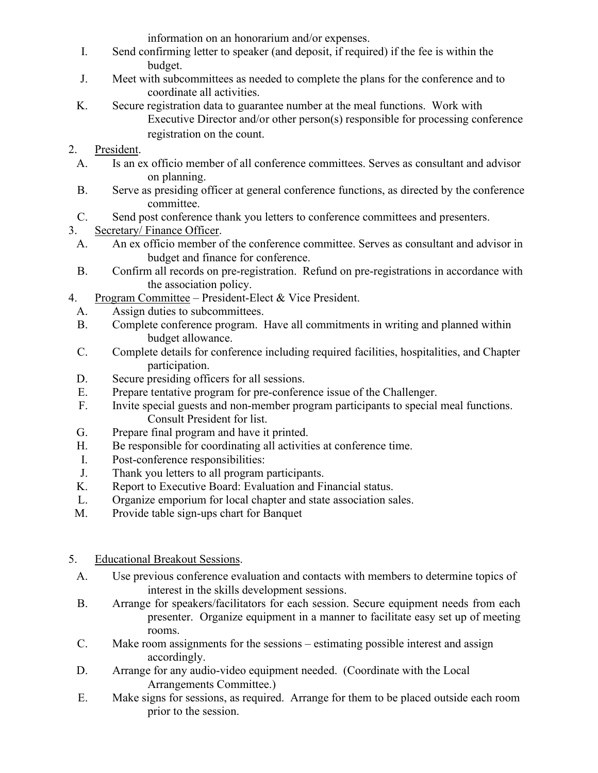information on an honorarium and/or expenses.

- I. Send confirming letter to speaker (and deposit, if required) if the fee is within the budget.
- J. Meet with subcommittees as needed to complete the plans for the conference and to coordinate all activities.
- K. Secure registration data to guarantee number at the meal functions. Work with Executive Director and/or other person(s) responsible for processing conference registration on the count.

# 2. President.

- A. Is an ex officio member of all conference committees. Serves as consultant and advisor on planning.
- B. Serve as presiding officer at general conference functions, as directed by the conference committee.
- C. Send post conference thank you letters to conference committees and presenters.
- 3. Secretary/ Finance Officer.
	- A. An ex officio member of the conference committee. Serves as consultant and advisor in budget and finance for conference.
	- B. Confirm all records on pre-registration. Refund on pre-registrations in accordance with the association policy.
- 4. Program Committee President-Elect & Vice President.
	- A. Assign duties to subcommittees.
	- B. Complete conference program. Have all commitments in writing and planned within budget allowance.
	- C. Complete details for conference including required facilities, hospitalities, and Chapter participation.
	- D. Secure presiding officers for all sessions.
	- E. Prepare tentative program for pre-conference issue of the Challenger.
	- F. Invite special guests and non-member program participants to special meal functions. Consult President for list.
	- G. Prepare final program and have it printed.
	- H. Be responsible for coordinating all activities at conference time.
	- I. Post-conference responsibilities:
	- J. Thank you letters to all program participants.
	- K. Report to Executive Board: Evaluation and Financial status.
	- L. Organize emporium for local chapter and state association sales.
- M. Provide table sign-ups chart for Banquet
- 5. Educational Breakout Sessions.
	- A. Use previous conference evaluation and contacts with members to determine topics of interest in the skills development sessions.
	- B. Arrange for speakers/facilitators for each session. Secure equipment needs from each presenter. Organize equipment in a manner to facilitate easy set up of meeting rooms.
	- C. Make room assignments for the sessions estimating possible interest and assign accordingly.
	- D. Arrange for any audio-video equipment needed. (Coordinate with the Local Arrangements Committee.)
	- E. Make signs for sessions, as required. Arrange for them to be placed outside each room prior to the session.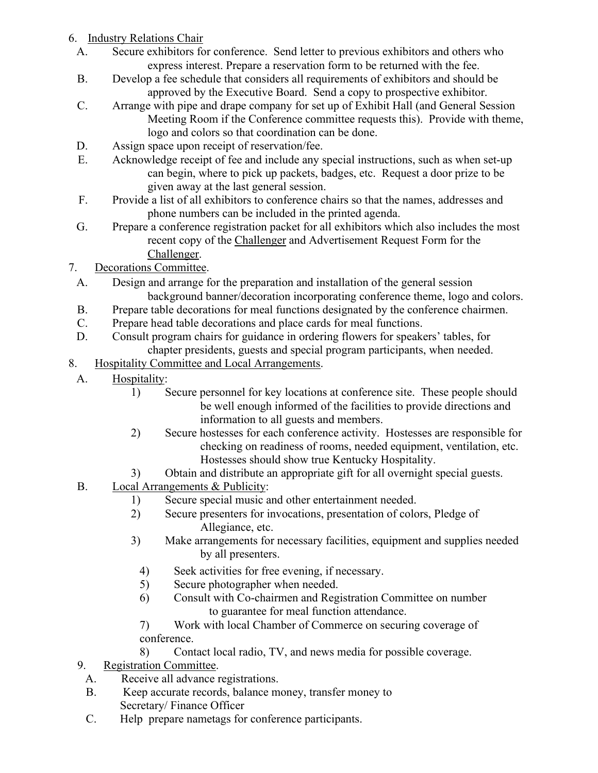# 6. Industry Relations Chair

- A. Secure exhibitors for conference. Send letter to previous exhibitors and others who express interest. Prepare a reservation form to be returned with the fee.
- B. Develop a fee schedule that considers all requirements of exhibitors and should be approved by the Executive Board. Send a copy to prospective exhibitor.
- C. Arrange with pipe and drape company for set up of Exhibit Hall (and General Session Meeting Room if the Conference committee requests this). Provide with theme, logo and colors so that coordination can be done.
- D. Assign space upon receipt of reservation/fee.
- E. Acknowledge receipt of fee and include any special instructions, such as when set-up can begin, where to pick up packets, badges, etc. Request a door prize to be given away at the last general session.
- F. Provide a list of all exhibitors to conference chairs so that the names, addresses and phone numbers can be included in the printed agenda.
- G. Prepare a conference registration packet for all exhibitors which also includes the most recent copy of the Challenger and Advertisement Request Form for the Challenger.
- 7. Decorations Committee.
	- A. Design and arrange for the preparation and installation of the general session background banner/decoration incorporating conference theme, logo and colors.
	- B. Prepare table decorations for meal functions designated by the conference chairmen.
	- C. Prepare head table decorations and place cards for meal functions.
	- D. Consult program chairs for guidance in ordering flowers for speakers' tables, for chapter presidents, guests and special program participants, when needed.
- 8. Hospitality Committee and Local Arrangements.
	- A. Hospitality:
		- 1) Secure personnel for key locations at conference site. These people should be well enough informed of the facilities to provide directions and information to all guests and members.
		- 2) Secure hostesses for each conference activity. Hostesses are responsible for checking on readiness of rooms, needed equipment, ventilation, etc. Hostesses should show true Kentucky Hospitality.
		- 3) Obtain and distribute an appropriate gift for all overnight special guests.
	- B. Local Arrangements & Publicity:
		- 1) Secure special music and other entertainment needed.
		- 2) Secure presenters for invocations, presentation of colors, Pledge of Allegiance, etc.
		- 3) Make arrangements for necessary facilities, equipment and supplies needed by all presenters.
			- 4) Seek activities for free evening, if necessary.
			- 5) Secure photographer when needed.
			- 6) Consult with Co-chairmen and Registration Committee on number to guarantee for meal function attendance.
			- 7) Work with local Chamber of Commerce on securing coverage of conference.
			- 8) Contact local radio, TV, and news media for possible coverage.
	- 9. Registration Committee.
		- A. Receive all advance registrations.
		- B. Keep accurate records, balance money, transfer money to Secretary/ Finance Officer
		- C. Help prepare nametags for conference participants.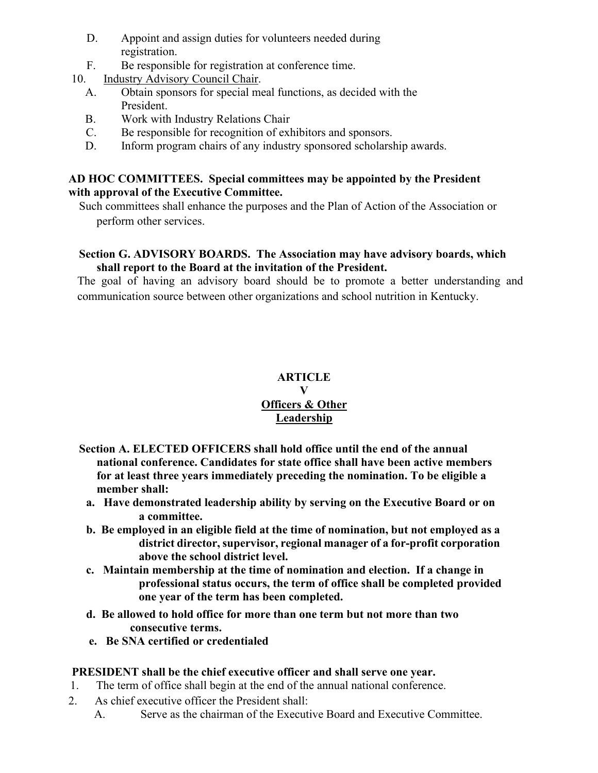- D. Appoint and assign duties for volunteers needed during registration.
- F. Be responsible for registration at conference time.
- 10. Industry Advisory Council Chair.
	- A. Obtain sponsors for special meal functions, as decided with the President.
	- B. Work with Industry Relations Chair
	- C. Be responsible for recognition of exhibitors and sponsors.
	- D. Inform program chairs of any industry sponsored scholarship awards.

#### **AD HOC COMMITTEES. Special committees may be appointed by the President with approval of the Executive Committee.**

Such committees shall enhance the purposes and the Plan of Action of the Association or perform other services.

# **Section G. ADVISORY BOARDS. The Association may have advisory boards, which shall report to the Board at the invitation of the President.**

The goal of having an advisory board should be to promote a better understanding and communication source between other organizations and school nutrition in Kentucky.

# **ARTICLE**

#### **V Officers & Other Leadership**

- **Section A. ELECTED OFFICERS shall hold office until the end of the annual national conference. Candidates for state office shall have been active members for at least three years immediately preceding the nomination. To be eligible a member shall:**
	- **a. Have demonstrated leadership ability by serving on the Executive Board or on a committee.**
	- **b. Be employed in an eligible field at the time of nomination, but not employed as a district director, supervisor, regional manager of a for-profit corporation above the school district level.**
	- **c. Maintain membership at the time of nomination and election. If a change in professional status occurs, the term of office shall be completed provided one year of the term has been completed.**
	- **d. Be allowed to hold office for more than one term but not more than two consecutive terms.**
	- **e. Be SNA certified or credentialed**

# **PRESIDENT shall be the chief executive officer and shall serve one year.**

- 1. The term of office shall begin at the end of the annual national conference.
- 2. As chief executive officer the President shall:
	- A. Serve as the chairman of the Executive Board and Executive Committee.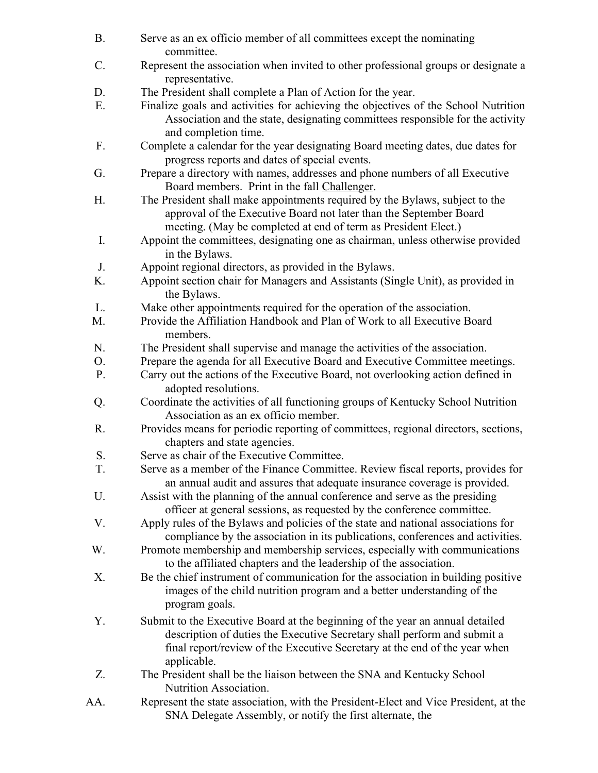| <b>B.</b> | Serve as an ex officio member of all committees except the nominating<br>committee.                                                                                                                                                     |
|-----------|-----------------------------------------------------------------------------------------------------------------------------------------------------------------------------------------------------------------------------------------|
| C.        | Represent the association when invited to other professional groups or designate a                                                                                                                                                      |
|           | representative.                                                                                                                                                                                                                         |
| D.        | The President shall complete a Plan of Action for the year.                                                                                                                                                                             |
| E.        | Finalize goals and activities for achieving the objectives of the School Nutrition<br>Association and the state, designating committees responsible for the activity<br>and completion time.                                            |
| F.        | Complete a calendar for the year designating Board meeting dates, due dates for                                                                                                                                                         |
|           | progress reports and dates of special events.                                                                                                                                                                                           |
| G.        | Prepare a directory with names, addresses and phone numbers of all Executive                                                                                                                                                            |
|           | Board members. Print in the fall Challenger.                                                                                                                                                                                            |
| Η.        | The President shall make appointments required by the Bylaws, subject to the<br>approval of the Executive Board not later than the September Board                                                                                      |
|           | meeting. (May be completed at end of term as President Elect.)                                                                                                                                                                          |
| I.        | Appoint the committees, designating one as chairman, unless otherwise provided<br>in the Bylaws.                                                                                                                                        |
| J.        | Appoint regional directors, as provided in the Bylaws.                                                                                                                                                                                  |
| Κ.        | Appoint section chair for Managers and Assistants (Single Unit), as provided in<br>the Bylaws.                                                                                                                                          |
| L.        | Make other appointments required for the operation of the association.                                                                                                                                                                  |
| M.        | Provide the Affiliation Handbook and Plan of Work to all Executive Board                                                                                                                                                                |
|           | members.                                                                                                                                                                                                                                |
| N.        | The President shall supervise and manage the activities of the association.                                                                                                                                                             |
| O.        | Prepare the agenda for all Executive Board and Executive Committee meetings.                                                                                                                                                            |
| P.        | Carry out the actions of the Executive Board, not overlooking action defined in<br>adopted resolutions.                                                                                                                                 |
| Q.        | Coordinate the activities of all functioning groups of Kentucky School Nutrition<br>Association as an ex officio member.                                                                                                                |
| R.        | Provides means for periodic reporting of committees, regional directors, sections,<br>chapters and state agencies.                                                                                                                      |
| S.        | Serve as chair of the Executive Committee.                                                                                                                                                                                              |
| T.        | Serve as a member of the Finance Committee. Review fiscal reports, provides for<br>an annual audit and assures that adequate insurance coverage is provided.                                                                            |
| U.        | Assist with the planning of the annual conference and serve as the presiding<br>officer at general sessions, as requested by the conference committee.                                                                                  |
| V.        | Apply rules of the Bylaws and policies of the state and national associations for<br>compliance by the association in its publications, conferences and activities.                                                                     |
| W.        | Promote membership and membership services, especially with communications<br>to the affiliated chapters and the leadership of the association.                                                                                         |
| Χ.        | Be the chief instrument of communication for the association in building positive<br>images of the child nutrition program and a better understanding of the                                                                            |
|           | program goals.                                                                                                                                                                                                                          |
| Υ.        | Submit to the Executive Board at the beginning of the year an annual detailed<br>description of duties the Executive Secretary shall perform and submit a<br>final report/review of the Executive Secretary at the end of the year when |
| Z.        | applicable.<br>The President shall be the liaison between the SNA and Kentucky School<br>Nutrition Association.                                                                                                                         |
| AA.       | Represent the state association, with the President-Elect and Vice President, at the<br>SNA Delegate Assembly, or notify the first alternate, the                                                                                       |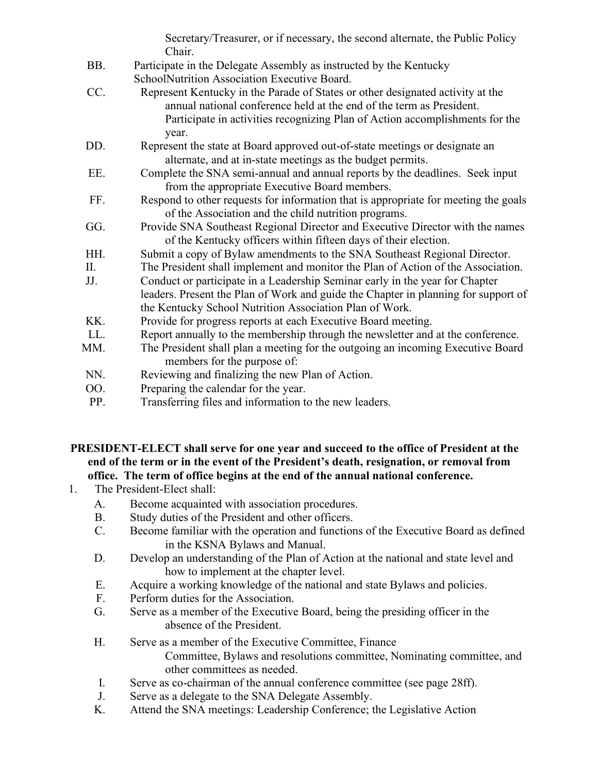Secretary/Treasurer, or if necessary, the second alternate, the Public Policy Chair.

- BB. Participate in the Delegate Assembly as instructed by the Kentucky SchoolNutrition Association Executive Board.
- CC. Represent Kentucky in the Parade of States or other designated activity at the annual national conference held at the end of the term as President. Participate in activities recognizing Plan of Action accomplishments for the year.
- DD. Represent the state at Board approved out-of-state meetings or designate an alternate, and at in-state meetings as the budget permits.
- EE. Complete the SNA semi-annual and annual reports by the deadlines. Seek input from the appropriate Executive Board members.
- FF. Respond to other requests for information that is appropriate for meeting the goals of the Association and the child nutrition programs.
- GG. Provide SNA Southeast Regional Director and Executive Director with the names of the Kentucky officers within fifteen days of their election.
- HH. Submit a copy of Bylaw amendments to the SNA Southeast Regional Director.
- II. The President shall implement and monitor the Plan of Action of the Association.
- JJ. Conduct or participate in a Leadership Seminar early in the year for Chapter leaders. Present the Plan of Work and guide the Chapter in planning for support of the Kentucky School Nutrition Association Plan of Work.
- KK. Provide for progress reports at each Executive Board meeting.
- LL. Report annually to the membership through the newsletter and at the conference.
- MM. The President shall plan a meeting for the outgoing an incoming Executive Board members for the purpose of:
- NN. Reviewing and finalizing the new Plan of Action.
- OO. Preparing the calendar for the year.
- PP. Transferring files and information to the new leaders.

**PRESIDENT-ELECT shall serve for one year and succeed to the office of President at the end of the term or in the event of the President's death, resignation, or removal from office. The term of office begins at the end of the annual national conference.**

- 1. The President-Elect shall:
	- A. Become acquainted with association procedures.
	- B. Study duties of the President and other officers.
	- C. Become familiar with the operation and functions of the Executive Board as defined in the KSNA Bylaws and Manual.
	- D. Develop an understanding of the Plan of Action at the national and state level and how to implement at the chapter level.
	- E. Acquire a working knowledge of the national and state Bylaws and policies.
	- F. Perform duties for the Association.
	- G. Serve as a member of the Executive Board, being the presiding officer in the absence of the President.
	- H. Serve as a member of the Executive Committee, Finance
		- Committee, Bylaws and resolutions committee, Nominating committee, and other committees as needed.
	- I. Serve as co-chairman of the annual conference committee (see page 28ff).
	- J. Serve as a delegate to the SNA Delegate Assembly.
	- K. Attend the SNA meetings: Leadership Conference; the Legislative Action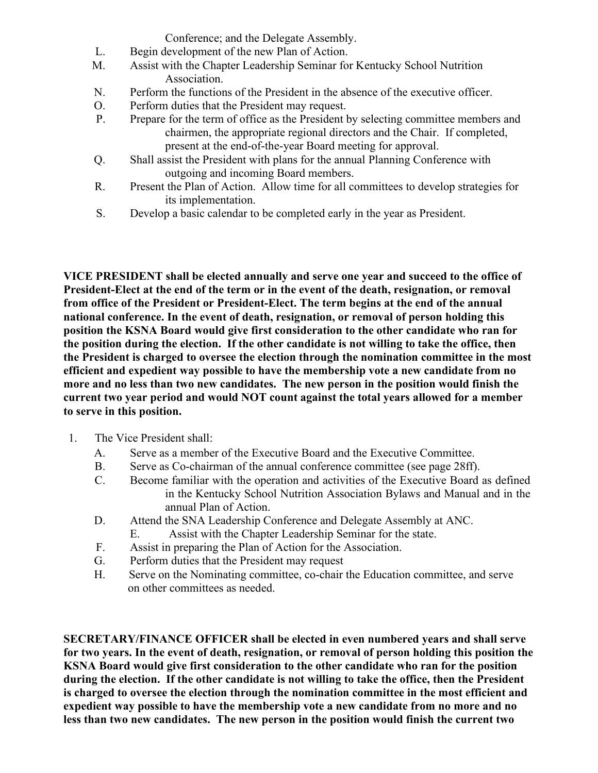Conference; and the Delegate Assembly.

- L. Begin development of the new Plan of Action.
- M. Assist with the Chapter Leadership Seminar for Kentucky School Nutrition Association.
- N. Perform the functions of the President in the absence of the executive officer.
- O. Perform duties that the President may request.
- P. Prepare for the term of office as the President by selecting committee members and chairmen, the appropriate regional directors and the Chair. If completed, present at the end-of-the-year Board meeting for approval.
- Q. Shall assist the President with plans for the annual Planning Conference with outgoing and incoming Board members.
- R. Present the Plan of Action. Allow time for all committees to develop strategies for its implementation.
- S. Develop a basic calendar to be completed early in the year as President.

**VICE PRESIDENT shall be elected annually and serve one year and succeed to the office of President-Elect at the end of the term or in the event of the death, resignation, or removal from office of the President or President-Elect. The term begins at the end of the annual national conference. In the event of death, resignation, or removal of person holding this position the KSNA Board would give first consideration to the other candidate who ran for the position during the election. If the other candidate is not willing to take the office, then the President is charged to oversee the election through the nomination committee in the most efficient and expedient way possible to have the membership vote a new candidate from no more and no less than two new candidates. The new person in the position would finish the current two year period and would NOT count against the total years allowed for a member to serve in this position.**

- 1. The Vice President shall:
	- A. Serve as a member of the Executive Board and the Executive Committee.
	- B. Serve as Co-chairman of the annual conference committee (see page 28ff).
	- C. Become familiar with the operation and activities of the Executive Board as defined in the Kentucky School Nutrition Association Bylaws and Manual and in the annual Plan of Action.
	- D. Attend the SNA Leadership Conference and Delegate Assembly at ANC.
		- E. Assist with the Chapter Leadership Seminar for the state.
	- F. Assist in preparing the Plan of Action for the Association.
	- G. Perform duties that the President may request
	- H. Serve on the Nominating committee, co-chair the Education committee, and serve on other committees as needed.

**SECRETARY/FINANCE OFFICER shall be elected in even numbered years and shall serve for two years. In the event of death, resignation, or removal of person holding this position the KSNA Board would give first consideration to the other candidate who ran for the position during the election. If the other candidate is not willing to take the office, then the President is charged to oversee the election through the nomination committee in the most efficient and expedient way possible to have the membership vote a new candidate from no more and no less than two new candidates. The new person in the position would finish the current two**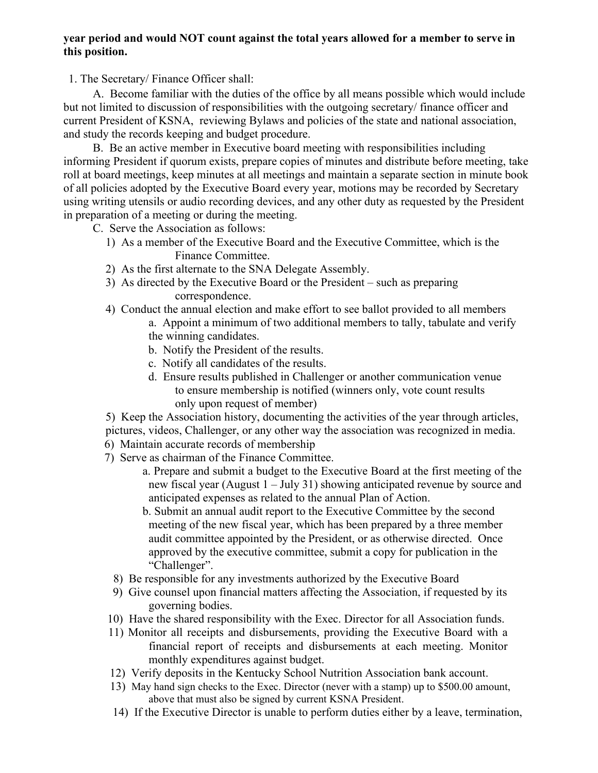#### **year period and would NOT count against the total years allowed for a member to serve in this position.**

1. The Secretary/ Finance Officer shall:

A. Become familiar with the duties of the office by all means possible which would include but not limited to discussion of responsibilities with the outgoing secretary/ finance officer and current President of KSNA, reviewing Bylaws and policies of the state and national association, and study the records keeping and budget procedure.

B. Be an active member in Executive board meeting with responsibilities including informing President if quorum exists, prepare copies of minutes and distribute before meeting, take roll at board meetings, keep minutes at all meetings and maintain a separate section in minute book of all policies adopted by the Executive Board every year, motions may be recorded by Secretary using writing utensils or audio recording devices, and any other duty as requested by the President in preparation of a meeting or during the meeting.

C. Serve the Association as follows:

- 1) As a member of the Executive Board and the Executive Committee, which is the Finance Committee.
- 2) As the first alternate to the SNA Delegate Assembly.
- 3) As directed by the Executive Board or the President such as preparing correspondence.
- 4) Conduct the annual election and make effort to see ballot provided to all members a. Appoint a minimum of two additional members to tally, tabulate and verify the winning candidates.
	- b. Notify the President of the results.
	- c. Notify all candidates of the results.
	- d. Ensure results published in Challenger or another communication venue to ensure membership is notified (winners only, vote count results only upon request of member)
- 5) Keep the Association history, documenting the activities of the year through articles,
- pictures, videos, Challenger, or any other way the association was recognized in media.
- 6) Maintain accurate records of membership
- 7) Serve as chairman of the Finance Committee.
	- a. Prepare and submit a budget to the Executive Board at the first meeting of the new fiscal year (August 1 – July 31) showing anticipated revenue by source and anticipated expenses as related to the annual Plan of Action.
	- b. Submit an annual audit report to the Executive Committee by the second meeting of the new fiscal year, which has been prepared by a three member audit committee appointed by the President, or as otherwise directed. Once approved by the executive committee, submit a copy for publication in the "Challenger".
	- 8) Be responsible for any investments authorized by the Executive Board
	- 9) Give counsel upon financial matters affecting the Association, if requested by its governing bodies.
- 10) Have the shared responsibility with the Exec. Director for all Association funds.
- 11) Monitor all receipts and disbursements, providing the Executive Board with a financial report of receipts and disbursements at each meeting. Monitor monthly expenditures against budget.
- 12) Verify deposits in the Kentucky School Nutrition Association bank account.
- 13) May hand sign checks to the Exec. Director (never with a stamp) up to \$500.00 amount, above that must also be signed by current KSNA President.
- 14) If the Executive Director is unable to perform duties either by a leave, termination,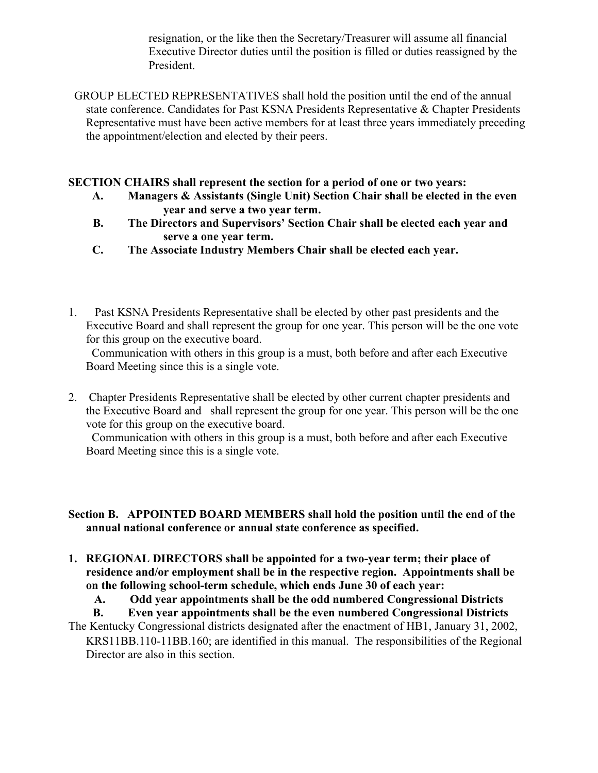resignation, or the like then the Secretary/Treasurer will assume all financial Executive Director duties until the position is filled or duties reassigned by the President.

GROUP ELECTED REPRESENTATIVES shall hold the position until the end of the annual state conference. Candidates for Past KSNA Presidents Representative & Chapter Presidents Representative must have been active members for at least three years immediately preceding the appointment/election and elected by their peers.

#### **SECTION CHAIRS shall represent the section for a period of one or two years:**

- **A. Managers & Assistants (Single Unit) Section Chair shall be elected in the even year and serve a two year term.**
- **B. The Directors and Supervisors' Section Chair shall be elected each year and serve a one year term.**
- **C. The Associate Industry Members Chair shall be elected each year.**
- 1. Past KSNA Presidents Representative shall be elected by other past presidents and the Executive Board and shall represent the group for one year. This person will be the one vote for this group on the executive board.

Communication with others in this group is a must, both before and after each Executive Board Meeting since this is a single vote.

2. Chapter Presidents Representative shall be elected by other current chapter presidents and the Executive Board and shall represent the group for one year. This person will be the one vote for this group on the executive board.

Communication with others in this group is a must, both before and after each Executive Board Meeting since this is a single vote.

#### **Section B. APPOINTED BOARD MEMBERS shall hold the position until the end of the annual national conference or annual state conference as specified.**

**1. REGIONAL DIRECTORS shall be appointed for a two-year term; their place of residence and/or employment shall be in the respective region. Appointments shall be on the following school-term schedule, which ends June 30 of each year:**

**A. Odd year appointments shall be the odd numbered Congressional Districts**

**B. Even year appointments shall be the even numbered Congressional Districts**

The Kentucky Congressional districts designated after the enactment of HB1, January 31, 2002, KRS11BB.110-11BB.160; are identified in this manual. The responsibilities of the Regional Director are also in this section.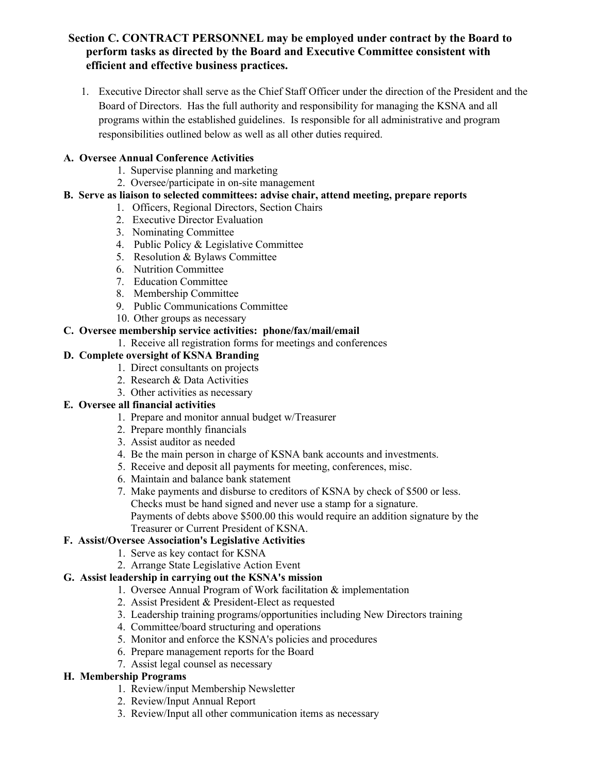#### **Section C. CONTRACT PERSONNEL may be employed under contract by the Board to perform tasks as directed by the Board and Executive Committee consistent with efficient and effective business practices.**

1. Executive Director shall serve as the Chief Staff Officer under the direction of the President and the Board of Directors. Has the full authority and responsibility for managing the KSNA and all programs within the established guidelines. Is responsible for all administrative and program responsibilities outlined below as well as all other duties required.

#### **A. Oversee Annual Conference Activities**

- 1. Supervise planning and marketing
- 2. Oversee/participate in on-site management
- **B. Serve as liaison to selected committees: advise chair, attend meeting, prepare reports**
	- 1. Officers, Regional Directors, Section Chairs
	- 2. Executive Director Evaluation
	- 3. Nominating Committee
	- 4. Public Policy & Legislative Committee
	- 5. Resolution & Bylaws Committee
	- 6. Nutrition Committee
	- 7. Education Committee
	- 8. Membership Committee
	- 9. Public Communications Committee
	- 10. Other groups as necessary

#### **C. Oversee membership service activities: phone/fax/mail/email**

1.Receive all registration forms for meetings and conferences

#### **D. Complete oversight of KSNA Branding**

- 1. Direct consultants on projects
- 2. Research & Data Activities
- 3. Other activities as necessary

#### **E. Oversee all financial activities**

- 1. Prepare and monitor annual budget w/Treasurer
- 2. Prepare monthly financials
- 3. Assist auditor as needed
- 4. Be the main person in charge of KSNA bank accounts and investments.
- 5. Receive and deposit all payments for meeting, conferences, misc.
- 6. Maintain and balance bank statement
- 7. Make payments and disburse to creditors of KSNA by check of \$500 or less. Checks must be hand signed and never use a stamp for a signature. Payments of debts above \$500.00 this would require an addition signature by the Treasurer or Current President of KSNA.

# **F. Assist/Oversee Association's Legislative Activities**

- 1. Serve as key contact for KSNA
- 2. Arrange State Legislative Action Event

# **G. Assist leadership in carrying out the KSNA's mission**

- 1. Oversee Annual Program of Work facilitation & implementation
- 2. Assist President & President-Elect as requested
- 3. Leadership training programs/opportunities including New Directors training
- 4. Committee/board structuring and operations
- 5. Monitor and enforce the KSNA's policies and procedures
- 6. Prepare management reports for the Board
- 7. Assist legal counsel as necessary

#### **H. Membership Programs**

- 1. Review/input Membership Newsletter
- 2. Review/Input Annual Report
- 3. Review/Input all other communication items as necessary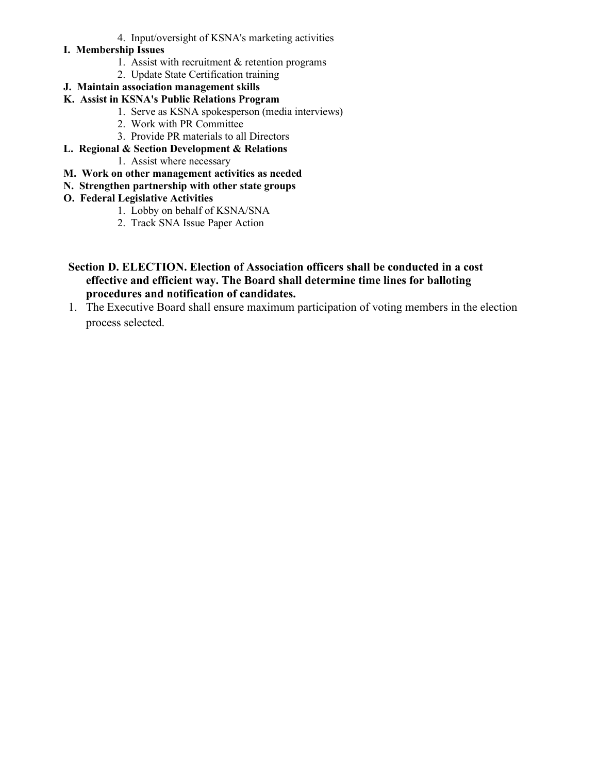- 4. Input/oversight of KSNA's marketing activities
- **I. Membership Issues**
	- 1. Assist with recruitment & retention programs
	- 2. Update State Certification training
- **J. Maintain association management skills**
- **K. Assist in KSNA's Public Relations Program**
	- 1. Serve as KSNA spokesperson (media interviews)
	- 2. Work with PR Committee
	- 3. Provide PR materials to all Directors
- **L. Regional & Section Development & Relations**
	- 1. Assist where necessary
- **M. Work on other management activities as needed**
- **N. Strengthen partnership with other state groups**
- **O. Federal Legislative Activities**
	- 1. Lobby on behalf of KSNA/SNA
	- 2. Track SNA Issue Paper Action
- **Section D. ELECTION. Election of Association officers shall be conducted in a cost effective and efficient way. The Board shall determine time lines for balloting procedures and notification of candidates.**
- 1. The Executive Board shall ensure maximum participation of voting members in the election process selected.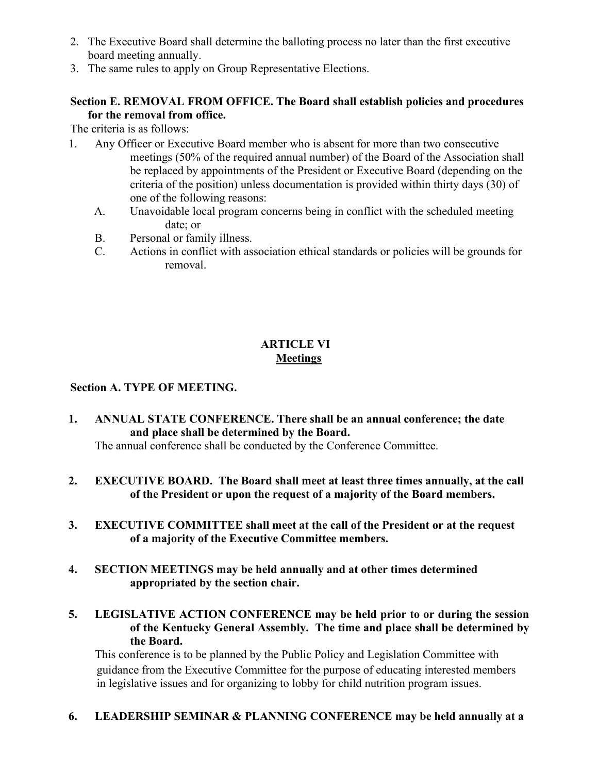- 2. The Executive Board shall determine the balloting process no later than the first executive board meeting annually.
- 3. The same rules to apply on Group Representative Elections.

# **Section E. REMOVAL FROM OFFICE. The Board shall establish policies and procedures for the removal from office.**

The criteria is as follows:

- 1. Any Officer or Executive Board member who is absent for more than two consecutive meetings (50% of the required annual number) of the Board of the Association shall be replaced by appointments of the President or Executive Board (depending on the criteria of the position) unless documentation is provided within thirty days (30) of one of the following reasons:
	- A. Unavoidable local program concerns being in conflict with the scheduled meeting date; or
	- B. Personal or family illness.
	- C. Actions in conflict with association ethical standards or policies will be grounds for removal.

# **ARTICLE VI Meetings**

# **Section A. TYPE OF MEETING.**

- **1. ANNUAL STATE CONFERENCE. There shall be an annual conference; the date and place shall be determined by the Board.** The annual conference shall be conducted by the Conference Committee.
- **2. EXECUTIVE BOARD. The Board shall meet at least three times annually, at the call of the President or upon the request of a majority of the Board members.**
- **3. EXECUTIVE COMMITTEE shall meet at the call of the President or at the request of a majority of the Executive Committee members.**
- **4. SECTION MEETINGS may be held annually and at other times determined appropriated by the section chair.**
- **5. LEGISLATIVE ACTION CONFERENCE may be held prior to or during the session of the Kentucky General Assembly. The time and place shall be determined by the Board.**

This conference is to be planned by the Public Policy and Legislation Committee with guidance from the Executive Committee for the purpose of educating interested members in legislative issues and for organizing to lobby for child nutrition program issues.

# **6. LEADERSHIP SEMINAR & PLANNING CONFERENCE may be held annually at a**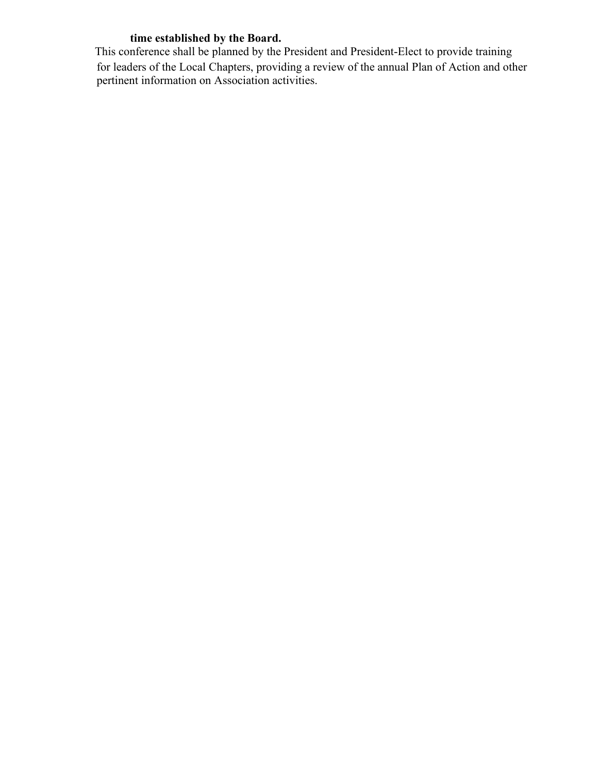#### **time established by the Board.**

This conference shall be planned by the President and President-Elect to provide training for leaders of the Local Chapters, providing a review of the annual Plan of Action and other pertinent information on Association activities.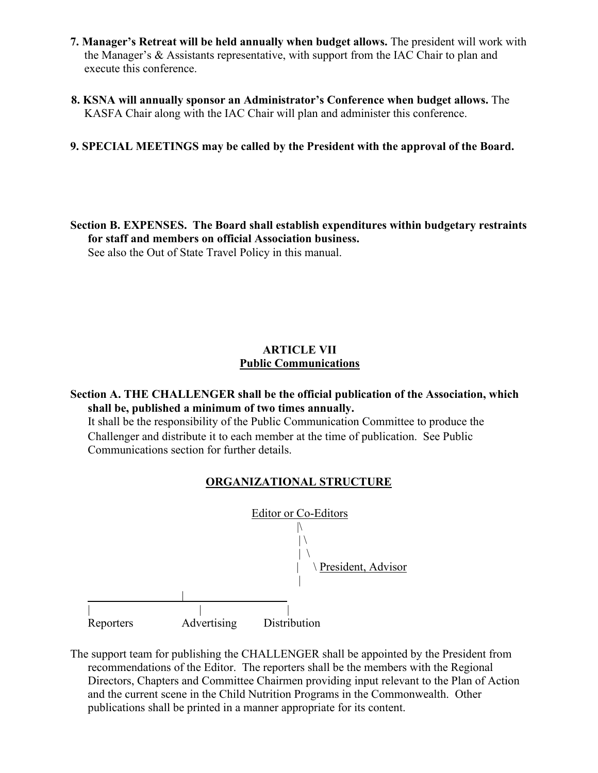- **7. Manager's Retreat will be held annually when budget allows.** The president will work with the Manager's & Assistants representative, with support from the IAC Chair to plan and execute this conference.
- **8. KSNA will annually sponsor an Administrator's Conference when budget allows.** The KASFA Chair along with the IAC Chair will plan and administer this conference.

#### **9. SPECIAL MEETINGS may be called by the President with the approval of the Board.**

**Section B. EXPENSES. The Board shall establish expenditures within budgetary restraints for staff and members on official Association business.** See also the Out of State Travel Policy in this manual.

#### **ARTICLE VII Public Communications**

#### **Section A. THE CHALLENGER shall be the official publication of the Association, which shall be, published a minimum of two times annually.**

It shall be the responsibility of the Public Communication Committee to produce the Challenger and distribute it to each member at the time of publication. See Public Communications section for further details.

#### **ORGANIZATIONAL STRUCTURE**



The support team for publishing the CHALLENGER shall be appointed by the President from recommendations of the Editor. The reporters shall be the members with the Regional Directors, Chapters and Committee Chairmen providing input relevant to the Plan of Action and the current scene in the Child Nutrition Programs in the Commonwealth. Other publications shall be printed in a manner appropriate for its content.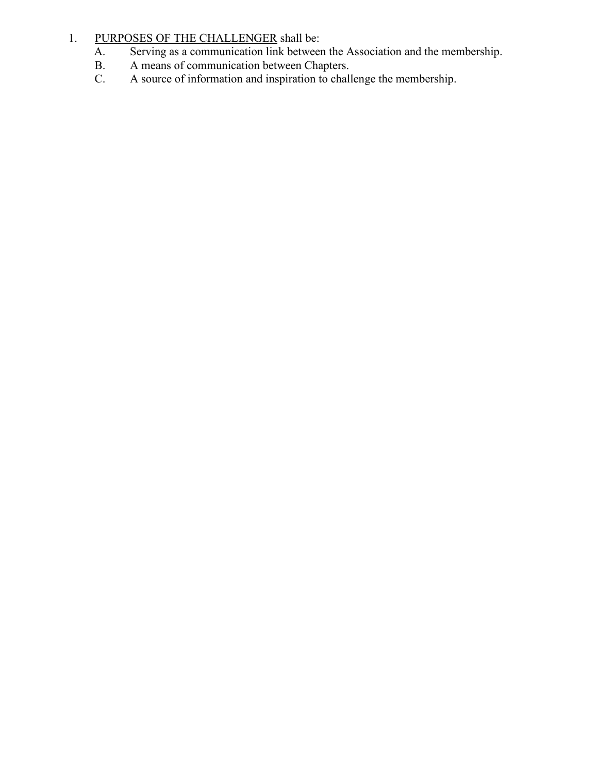# 1. PURPOSES OF THE CHALLENGER shall be:<br>A. Serving as a communication link between

- A. Serving as a communication link between the Association and the membership.<br>B. A means of communication between Chapters.
- B. A means of communication between Chapters.<br>C. A source of information and inspiration to chall
- A source of information and inspiration to challenge the membership.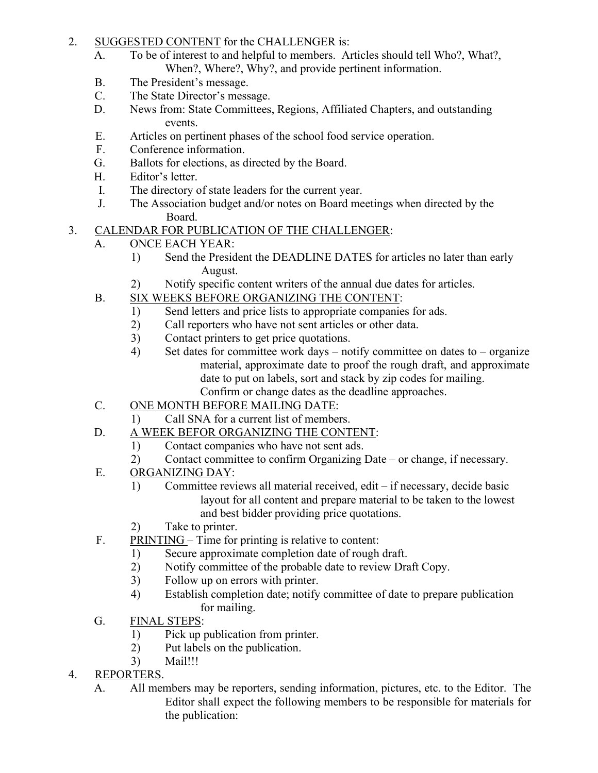# 2. SUGGESTED CONTENT for the CHALLENGER is:

- A. To be of interest to and helpful to members. Articles should tell Who?, What?, When?, Where?, Why?, and provide pertinent information.
- B. The President's message.
- C. The State Director's message.
- D. News from: State Committees, Regions, Affiliated Chapters, and outstanding events.
- E. Articles on pertinent phases of the school food service operation.
- F. Conference information.
- G. Ballots for elections, as directed by the Board.
- H. Editor's letter.
- I. The directory of state leaders for the current year.
- J. The Association budget and/or notes on Board meetings when directed by the Board.
- 3. CALENDAR FOR PUBLICATION OF THE CHALLENGER:
	- A. ONCE EACH YEAR:
		- 1) Send the President the DEADLINE DATES for articles no later than early August.
		- 2) Notify specific content writers of the annual due dates for articles.
	- B. SIX WEEKS BEFORE ORGANIZING THE CONTENT:
		- 1) Send letters and price lists to appropriate companies for ads.
		- 2) Call reporters who have not sent articles or other data.
		- 3) Contact printers to get price quotations.
		- 4) Set dates for committee work days notify committee on dates to organize material, approximate date to proof the rough draft, and approximate date to put on labels, sort and stack by zip codes for mailing. Confirm or change dates as the deadline approaches.
	- C. ONE MONTH BEFORE MAILING DATE:
		- 1) Call SNA for a current list of members.
	- D. A WEEK BEFOR ORGANIZING THE CONTENT:
		- 1) Contact companies who have not sent ads.
		- 2) Contact committee to confirm Organizing Date or change, if necessary.
	- E. ORGANIZING DAY:
		- 1) Committee reviews all material received, edit if necessary, decide basic layout for all content and prepare material to be taken to the lowest and best bidder providing price quotations.
		- 2) Take to printer.
	- F. PRINTING Time for printing is relative to content:
		- 1) Secure approximate completion date of rough draft.
		- 2) Notify committee of the probable date to review Draft Copy.
		- 3) Follow up on errors with printer.
		- 4) Establish completion date; notify committee of date to prepare publication for mailing.
	- G. FINAL STEPS:
		- 1) Pick up publication from printer.
		- 2) Put labels on the publication.
		- 3) Mail!!!
- 4. REPORTERS.
	- A. All members may be reporters, sending information, pictures, etc. to the Editor. The Editor shall expect the following members to be responsible for materials for the publication: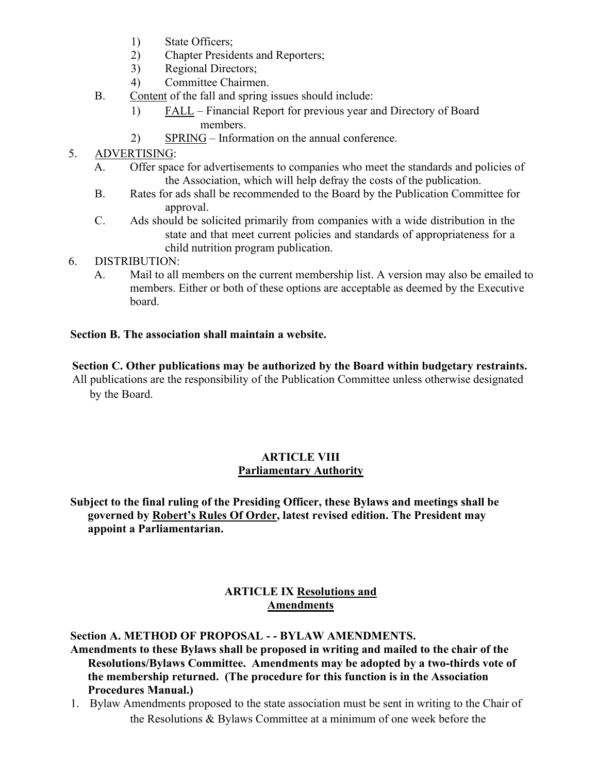- 1) State Officers;
- 2) Chapter Presidents and Reporters;
- 3) Regional Directors;
- 4) Committee Chairmen.
- B. Content of the fall and spring issues should include:
	- 1) FALL Financial Report for previous year and Directory of Board members.
	- 2) SPRING Information on the annual conference.

# 5. ADVERTISING:

- A. Offer space for advertisements to companies who meet the standards and policies of the Association, which will help defray the costs of the publication.
- B. Rates for ads shall be recommended to the Board by the Publication Committee for approval.
- C. Ads should be solicited primarily from companies with a wide distribution in the state and that meet current policies and standards of appropriateness for a child nutrition program publication.
- 6. DISTRIBUTION:
	- A. Mail to all members on the current membership list. A version may also be emailed to members. Either or both of these options are acceptable as deemed by the Executive board.

#### **Section B. The association shall maintain a website.**

#### **Section C. Other publications may be authorized by the Board within budgetary restraints.**

All publications are the responsibility of the Publication Committee unless otherwise designated by the Board.

#### **ARTICLE VIII Parliamentary Authority**

# **Subject to the final ruling of the Presiding Officer, these Bylaws and meetings shall be governed by Robert's Rules Of Order, latest revised edition. The President may appoint a Parliamentarian.**

#### **ARTICLE IX Resolutions and Amendments**

#### **Section A. METHOD OF PROPOSAL - - BYLAW AMENDMENTS.**

#### **Amendments to these Bylaws shall be proposed in writing and mailed to the chair of the Resolutions/Bylaws Committee. Amendments may be adopted by a two-thirds vote of the membership returned. (The procedure for this function is in the Association Procedures Manual.)**

1. Bylaw Amendments proposed to the state association must be sent in writing to the Chair of the Resolutions & Bylaws Committee at a minimum of one week before the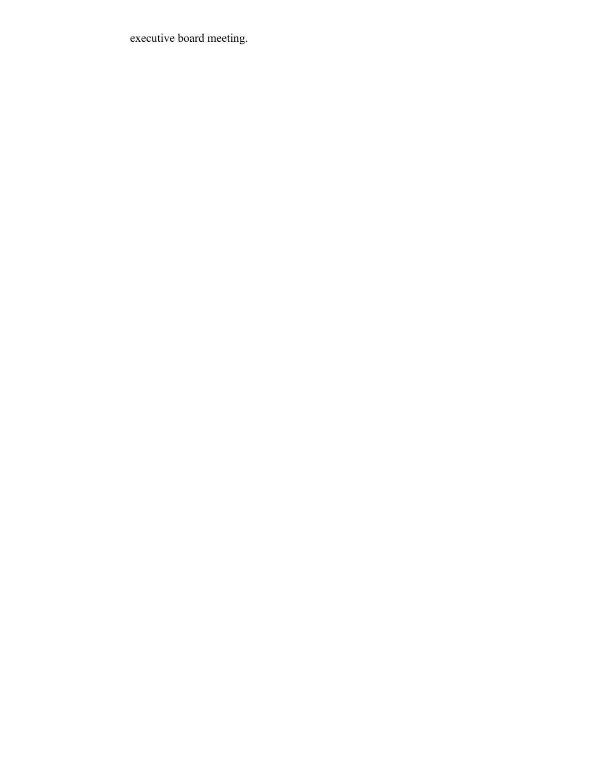executive board meeting.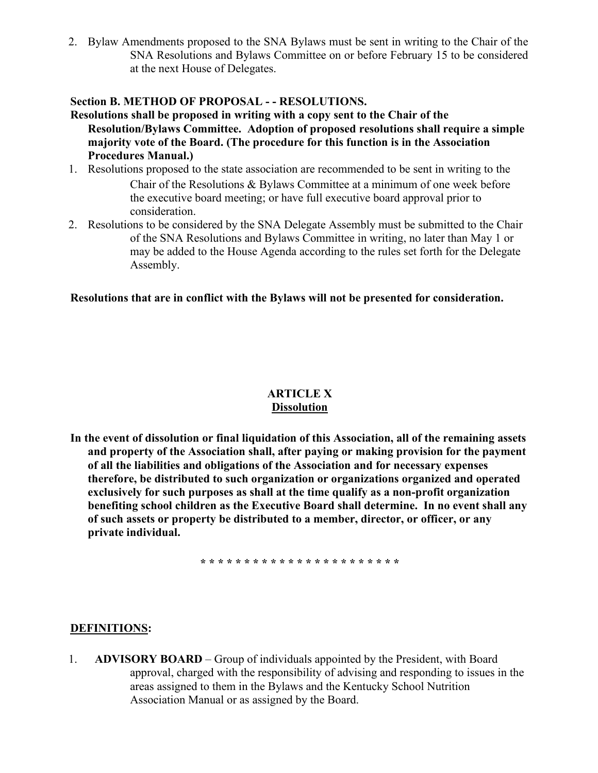2. Bylaw Amendments proposed to the SNA Bylaws must be sent in writing to the Chair of the SNA Resolutions and Bylaws Committee on or before February 15 to be considered at the next House of Delegates.

#### **Section B. METHOD OF PROPOSAL - - RESOLUTIONS.**

- **Resolutions shall be proposed in writing with a copy sent to the Chair of the Resolution/Bylaws Committee. Adoption of proposed resolutions shall require a simple majority vote of the Board. (The procedure for this function is in the Association Procedures Manual.)**
- 1. Resolutions proposed to the state association are recommended to be sent in writing to the Chair of the Resolutions & Bylaws Committee at a minimum of one week before the executive board meeting; or have full executive board approval prior to consideration.
- 2. Resolutions to be considered by the SNA Delegate Assembly must be submitted to the Chair of the SNA Resolutions and Bylaws Committee in writing, no later than May 1 or may be added to the House Agenda according to the rules set forth for the Delegate Assembly.

#### **Resolutions that are in conflict with the Bylaws will not be presented for consideration.**

#### **ARTICLE X Dissolution**

**In the event of dissolution or final liquidation of this Association, all of the remaining assets and property of the Association shall, after paying or making provision for the payment of all the liabilities and obligations of the Association and for necessary expenses therefore, be distributed to such organization or organizations organized and operated exclusively for such purposes as shall at the time qualify as a non-profit organization benefiting school children as the Executive Board shall determine. In no event shall any of such assets or property be distributed to a member, director, or officer, or any private individual.**

**\* \* \* \* \* \* \* \* \* \* \* \* \* \* \* \* \* \* \* \* \* \* \***

#### **DEFINITIONS:**

1. **ADVISORY BOARD** – Group of individuals appointed by the President, with Board approval, charged with the responsibility of advising and responding to issues in the areas assigned to them in the Bylaws and the Kentucky School Nutrition Association Manual or as assigned by the Board.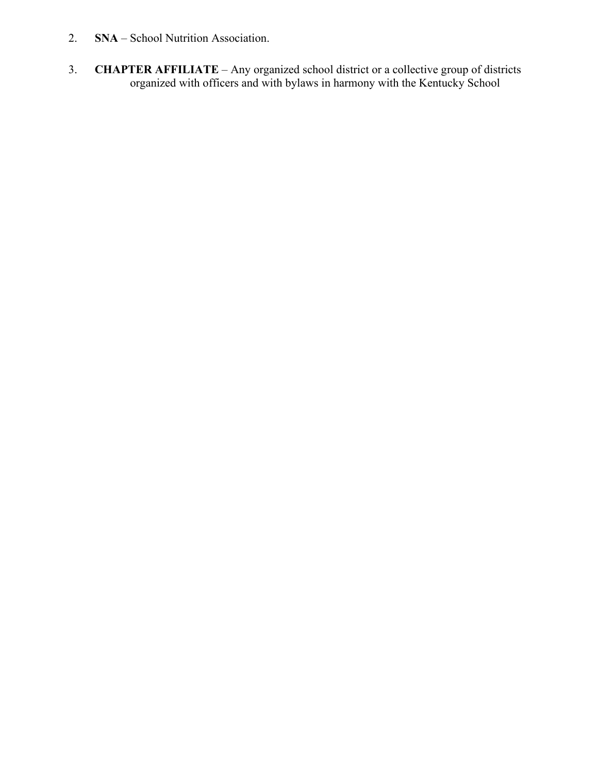- 2. **SNA**  School Nutrition Association.
- 3. **CHAPTER AFFILIATE**  Any organized school district or a collective group of districts organized with officers and with bylaws in harmony with the Kentucky School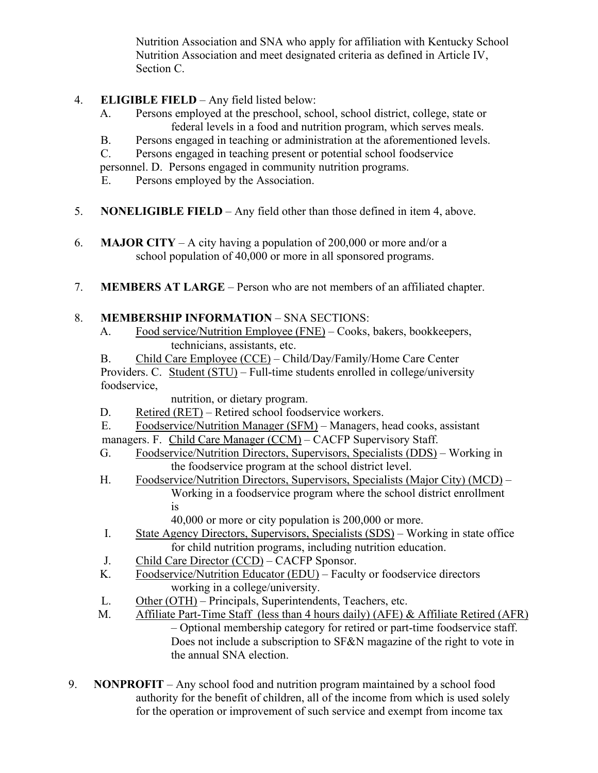Nutrition Association and SNA who apply for affiliation with Kentucky School Nutrition Association and meet designated criteria as defined in Article IV, Section C.

- 4. **ELIGIBLE FIELD**  Any field listed below:
	- A. Persons employed at the preschool, school, school district, college, state or federal levels in a food and nutrition program, which serves meals.
	- B. Persons engaged in teaching or administration at the aforementioned levels.
	- C. Persons engaged in teaching present or potential school foodservice

personnel. D. Persons engaged in community nutrition programs.

- E. Persons employed by the Association.
- 5. **NONELIGIBLE FIELD**  Any field other than those defined in item 4, above.
- 6. **MAJOR CITY**  A city having a population of 200,000 or more and/or a school population of 40,000 or more in all sponsored programs.
- 7. **MEMBERS AT LARGE**  Person who are not members of an affiliated chapter.

# 8. **MEMBERSHIP INFORMATION** – SNA SECTIONS:

A. Food service/Nutrition Employee (FNE) – Cooks, bakers, bookkeepers, technicians, assistants, etc.

B. Child Care Employee (CCE) – Child/Day/Family/Home Care Center Providers. C. Student (STU) – Full-time students enrolled in college/university foodservice,

nutrition, or dietary program.

- D. Retired (RET) Retired school foodservice workers.
- E. Foodservice/Nutrition Manager (SFM) Managers, head cooks, assistant

managers. F. Child Care Manager (CCM) – CACFP Supervisory Staff.

- G. Foodservice/Nutrition Directors, Supervisors, Specialists (DDS) Working in the foodservice program at the school district level.
- H. Foodservice/Nutrition Directors, Supervisors, Specialists (Major City) (MCD) Working in a foodservice program where the school district enrollment is

40,000 or more or city population is 200,000 or more.

- I. State Agency Directors, Supervisors, Specialists (SDS) Working in state office for child nutrition programs, including nutrition education.
- J. Child Care Director (CCD) CACFP Sponsor.
- K. Foodservice/Nutrition Educator (EDU) Faculty or foodservice directors working in a college/university.
- L. Other (OTH) Principals, Superintendents, Teachers, etc.
- M. Affiliate Part-Time Staff (less than 4 hours daily) (AFE) & Affiliate Retired (AFR) – Optional membership category for retired or part-time foodservice staff. Does not include a subscription to SF&N magazine of the right to vote in the annual SNA election.
- 9. **NONPROFIT**  Any school food and nutrition program maintained by a school food authority for the benefit of children, all of the income from which is used solely for the operation or improvement of such service and exempt from income tax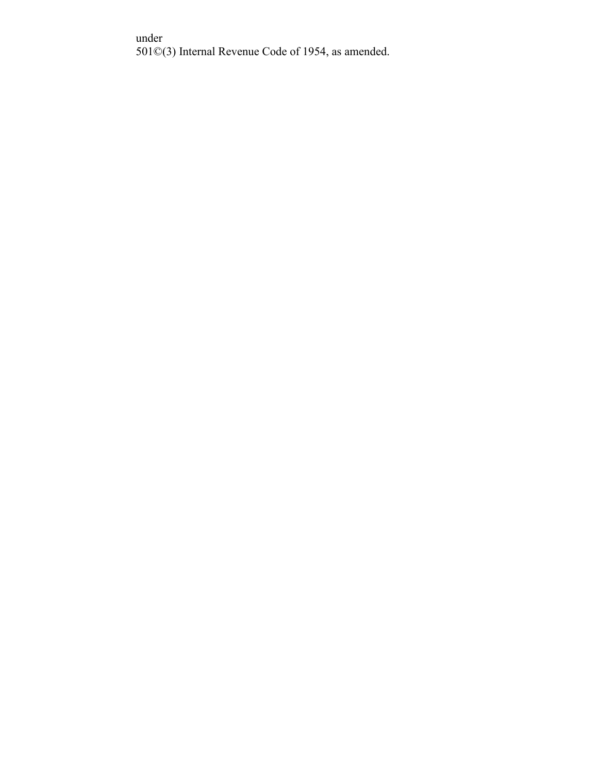under 501©(3) Internal Revenue Code of 1954, as amended.